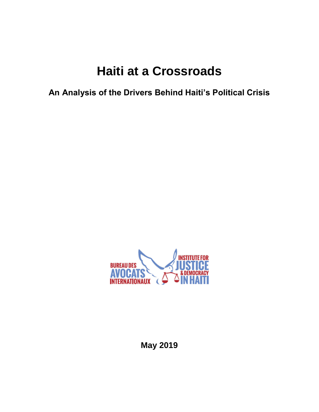# **Haiti at a Crossroads**

**An Analysis of the Drivers Behind Haiti's Political Crisis**



**May 2019**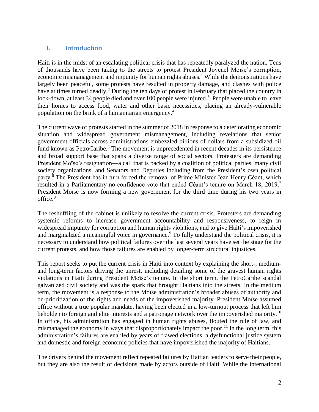#### **I. Introduction**

Haiti is in the midst of an escalating political crisis that has repeatedly paralyzed the nation. Tens of thousands have been taking to the streets to protest President Jovenel Moïse's corruption, economic mismanagement and impunity for human rights abuses.<sup>1</sup> While the demonstrations have largely been peaceful, some protests have resulted in property damage, and clashes with police have at times turned deadly.<sup>2</sup> During the ten days of protest in February that placed the country in lock-down, at least 34 people died and over 100 people were injured.<sup>3</sup> People were unable to leave their homes to access food, water and other basic necessities, placing an already-vulnerable population on the brink of a humanitarian emergency.<sup>4</sup>

The current wave of protests started in the summer of 2018 in response to a deteriorating economic situation and widespread government mismanagement, including revelations that senior government officials across administrations embezzled billions of dollars from a subsidized oil fund known as PetroCaribe.<sup>5</sup> The movement is unprecedented in recent decades in its persistence and broad support base that spans a diverse range of social sectors. Protesters are demanding President Moïse's resignation—a call that is backed by a coalition of political parties, many civil society organizations, and Senators and Deputies including from the President's own political party.<sup>6</sup> The President has in turn forced the removal of Prime Minister Jean Henry Céant, which resulted in a Parliamentary no-confidence vote that ended Céant's tenure on March 18, 2019.<sup>7</sup> President Moïse is now forming a new government for the third time during his two years in office. $8$ 

The reshuffling of the cabinet is unlikely to resolve the current crisis. Protesters are demanding systemic reforms to increase government accountability and responsiveness, to reign in widespread impunity for corruption and human rights violations, and to give Haiti's impoverished and marginalized a meaningful voice in governance.<sup>9</sup> To fully understand the political crisis, it is necessary to understand how political failures over the last several years have set the stage for the current protests, and how those failures are enabled by longer-term structural injustices.

This report seeks to put the current crisis in Haiti into context by explaining the short-, mediumand long-term factors driving the unrest, including detailing some of the gravest human rights violations in Haiti during President Moïse's tenure. In the short term, the PetroCaribe scandal galvanized civil society and was the spark that brought Haitians into the streets. In the medium term, the movement is a response to the Moïse administration's broader abuses of authority and de-prioritization of the rights and needs of the impoverished majority. President Moïse assumed office without a true popular mandate, having been elected in a low-turnout process that left him beholden to foreign and elite interests and a patronage network over the impoverished majority.<sup>10</sup> In office, his administration has engaged in human rights abuses, flouted the rule of law, and mismanaged the economy in ways that disproportionately impact the poor.<sup>11</sup> In the long term, this administration's failures are enabled by years of flawed elections, a dysfunctional justice system and domestic and foreign economic policies that have impoverished the majority of Haitians.

The drivers behind the movement reflect repeated failures by Haitian leaders to serve their people, but they are also the result of decisions made by actors outside of Haiti. While the international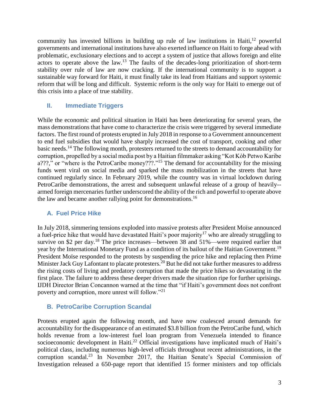community has invested billions in building up rule of law institutions in Haiti, $12$  powerful governments and international institutions have also exerted influence on Haiti to forge ahead with problematic, exclusionary elections and to accept a system of justice that allows foreign and elite actors to operate above the law.<sup>13</sup> The faults of the decades-long prioritization of short-term stability over rule of law are now cracking. If the international community is to support a sustainable way forward for Haiti, it must finally take its lead from Haitians and support systemic reform that will be long and difficult. Systemic reform is the only way for Haiti to emerge out of this crisis into a place of true stability.

## **II. Immediate Triggers**

While the economic and political situation in Haiti has been deteriorating for several years, the mass demonstrations that have come to characterize the crisis were triggered by several immediate factors. The first round of protests erupted in July 2018 in response to a Government announcement to end fuel subsidies that would have sharply increased the cost of transport, cooking and other basic needs.<sup>14</sup> The following month, protesters returned to the streets to demand accountability for corruption, propelled by a social media post by a Haitian filmmaker asking "Kot Kòb Petwo Karibe a???," or "where is the PetroCaribe money???."<sup>15</sup> The demand for accountability for the missing funds went viral on social media and sparked the mass mobilization in the streets that have continued regularly since. In February 2019, while the country was in virtual lockdown during PetroCaribe demonstrations, the arrest and subsequent unlawful release of a group of heavily- armed foreign mercenaries further underscored the ability of the rich and powerful to operate above the law and became another rallying point for demonstrations.<sup>16</sup>

#### **A. Fuel Price Hike**

In July 2018, simmering tensions exploded into massive protests after President Moïse announced a fuel-price hike that would have devastated Haiti's poor majority<sup>17</sup> who are already struggling to survive on \$2 per day.<sup>18</sup> The price increases—between 38 and 51%—were required earlier that year by the International Monetary Fund as a condition of its bailout of the Haitian Government.<sup>19</sup> President Moïse responded to the protests by suspending the price hike and replacing then Prime Minister Jack Guy Lafontant to placate protesters.<sup>20</sup> But he did not take further measures to address the rising costs of living and predatory corruption that made the price hikes so devastating in the first place. The failure to address these deeper drivers made the situation ripe for further uprisings. IJDH Director Brian Concannon warned at the time that "if Haiti's government does not confront poverty and corruption, more unrest will follow."<sup>21</sup>

## **B. PetroCaribe Corruption Scandal**

Protests erupted again the following month, and have now coalesced around demands for accountability for the disappearance of an estimated \$3.8 billion from the PetroCaribe fund, which holds revenue from a low-interest fuel loan program from Venezuela intended to finance socioeconomic development in Haiti.<sup>22</sup> Official investigations have implicated much of Haiti's political class, including numerous high-level officials throughout recent administrations, in the corruption scandal.<sup>23</sup> In November 2017, the Haitian Senate's Special Commission of Investigation released a 650-page report that identified 15 former ministers and top officials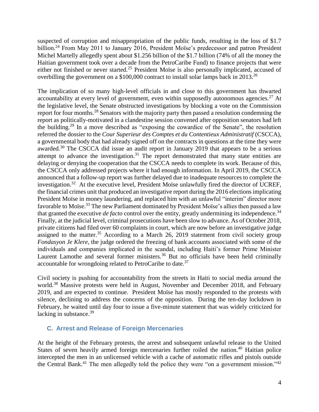suspected of corruption and misappropriation of the public funds, resulting in the loss of \$1.7 billion.<sup>24</sup> From May 2011 to January 2016, President Moïse's predecessor and patron President Michel Martelly allegedly spent about \$1.256 billion of the \$1.7 billion (74% of all the money the Haitian government took over a decade from the PetroCaribe Fund) to finance projects that were either not finished or never started.<sup>25</sup> President Moïse is also personally implicated, accused of overbilling the government on a \$100,000 contract to install solar lamps back in 2013.<sup>26</sup>

The implication of so many high-level officials in and close to this government has thwarted accountability at every level of government, even within supposedly autonomous agencies.<sup>27</sup> At the legislative level, the Senate obstructed investigations by blocking a vote on the Commission report for four months.<sup>28</sup> Senators with the majority party then passed a resolution condemning the report as politically-motivated in a clandestine session convened after opposition senators had left the building.<sup>29</sup> In a move described as "exposing the cowardice of the Senate", the resolution referred the dossier to the *Cour Superieur des Comptes et du Contentieux Administratif* (CSCCA), a governmental body that had already signed off on the contracts in questions at the time they were awarded.<sup>30</sup> The CSCCA did issue an audit report in January 2019 that appears to be a serious attempt to advance the investigation.<sup>31</sup> The report demonstrated that many state entities are delaying or denying the cooperation that the CSCCA needs to complete its work. Because of this, the CSCCA only addressed projects where it had enough information. In April 2019, the CSCCA announced that a follow-up report was further delayed due to inadequate resources to complete the investigation.<sup>32</sup> At the executive level, President Moïse unlawfully fired the director of UCREF, the financial crimes unit that produced an investigative report during the 2016 elections implicating President Moïse in money laundering, and replaced him with an unlawful "interim" director more favorable to Moïse.<sup>33</sup> The new Parliament dominated by President Moïse's allies then passed a law that granted the executive *de facto* control over the entity, greatly undermining its independence.<sup>34</sup> Finally, at the judicial level, criminal prosecutions have been slow to advance. As of October 2018, private citizens had filed over 60 complaints in court, which are now before an investigative judge assigned to the matter.<sup>35</sup> According to a March 26, 2019 statement from civil society group *Fondasyon Je Klere*, the judge ordered the freezing of bank accounts associated with some of the individuals and companies implicated in the scandal, including Haiti's former Prime Minister Laurent Lamothe and several former ministers.<sup>36</sup> But no officials have been held criminally accountable for wrongdoing related to PetroCaribe to date.<sup>37</sup>

Civil society is pushing for accountability from the streets in Haiti to social media around the world.<sup>38</sup> Massive protests were held in August, November and December 2018, and February 2019, and are expected to continue. President Moïse has mostly responded to the protests with silence, declining to address the concerns of the opposition. During the ten-day lockdown in February, he waited until day four to issue a five-minute statement that was widely criticized for lacking in substance.<sup>39</sup>

#### **C. Arrest and Release of Foreign Mercenaries**

At the height of the February protests, the arrest and subsequent unlawful release to the United States of seven heavily armed foreign mercenaries further roiled the nation.<sup>40</sup> Haitian police intercepted the men in an unlicensed vehicle with a cache of automatic rifles and pistols outside the Central Bank.<sup>41</sup> The men allegedly told the police they were "on a government mission."<sup>42</sup>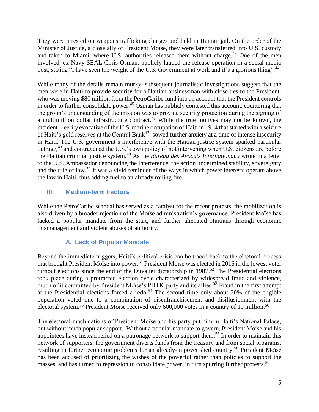They were arrested on weapons trafficking charges and held in Haitian jail. On the order of the Minister of Justice, a close ally of President Moïse, they were later transferred into U.S. custody and taken to Miami, where U.S. authorities released them without charge.<sup>43</sup> One of the men involved, ex-Navy SEAL Chris Osman, publicly lauded the release operation in a social media post, stating "I have seen the weight of the U.S. Government at work and it's a glorious thing".<sup>44</sup>

While many of the details remain murky, subsequent journalistic investigations suggest that the men were in Haiti to provide security for a Haitian businessman with close ties to the President, who was moving \$80 million from the PetroCaribe fund into an account that the President controls in order to further consolidate power.<sup>45</sup> Osman has publicly contested this account, countering that the group's understanding of the mission was to provide security protection during the signing of a multimillion dollar infrastructure contract.<sup>46</sup> While the true motives may not be known, the incident—eerily evocative of the U.S. marine occupation of Haiti in 1914 that started with a seizure of Haiti's gold reserves at the Central Bank<sup>47</sup>–sowed further anxiety at a time of intense insecurity in Haiti. The U.S. government's interference with the Haitian justice system sparked particular outrage,<sup>48</sup> and contravened the U.S.'s own policy of not intervening when U.S. citizens are before the Haitian criminal justice system.<sup>49</sup> As the *Bureau des Avocats Internationaux* wrote in a letter to the U.S. Ambassador denouncing the interference, the action undermined stability, sovereignty and the rule of law.<sup>50</sup> It was a vivid reminder of the ways in which power interests operate above the law in Haiti, thus adding fuel to an already roiling fire.

## **III. Medium-term Factors**

While the PetroCaribe scandal has served as a catalyst for the recent protests, the mobilization is also driven by a broader rejection of the Moïse administration's governance. President Moïse has lacked a popular mandate from the start, and further alienated Haitians through economic mismanagement and violent abuses of authority.

## **A. Lack of Popular Mandate**

Beyond the immediate triggers, Haiti's political crisis can be traced back to the electoral process that brought President Moïse into power.<sup>51</sup> President Moïse was elected in 2016 in the lowest voter turnout elections since the end of the Duvalier dictatorship in 1987. <sup>52</sup> The Presidential elections took place during a protracted election cycle characterized by widespread fraud and violence, much of it committed by President Moïse's PHTK party and its allies.<sup>53</sup> Fraud in the first attempt at the Presidential elections forced a redo.<sup>54</sup> The second time only about 20% of the eligible population voted due to a combination of disenfranchisement and disillusionment with the electoral system.<sup>55</sup> President Moïse received only 600,000 votes in a country of 10 million.<sup>56</sup>

The electoral machinations of President Moïse and his party put him in Haiti's National Palace, but without much popular support. Without a popular mandate to govern, President Moïse and his appointees have instead relied on a patronage network to support them.<sup>57</sup> In order to maintain this network of supporters, the government diverts funds from the treasury and from social programs, resulting in further economic problems for an already-impoverished country.<sup>58</sup> President Moïse has been accused of prioritizing the wishes of the powerful rather than policies to support the masses, and has turned to repression to consolidate power, in turn spurring further protests.<sup>59</sup>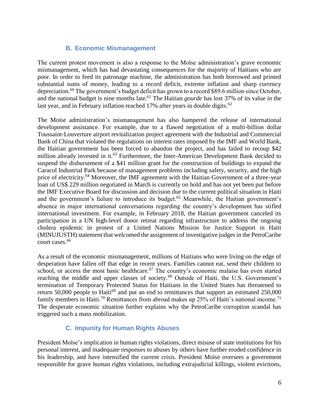## **B. Economic Mismanagement**

The current protest movement is also a response to the Moïse administration's grave economic mismanagement, which has had devastating consequences for the majority of Haitians who are poor. In order to feed its patronage machine, the administration has both borrowed and printed substantial sums of money, leading to a record deficit, extreme inflation and sharp currency depreciation.<sup>60</sup> The government's budget deficit has grown to a record \$89.6 million since October, and the national budget is nine months late.<sup>61</sup> The Haitian *gourde* has lost 37% of its value in the last year, and in February inflation reached 17% after years in double digits.<sup>62</sup>

The Moïse administration's mismanagement has also hampered the release of international development assistance. For example, due to a flawed negotiation of a multi-billion dollar Toussaint-Louverture airport revitalization project agreement with the Industrial and Commercial Bank of China that violated the regulations on interest rates imposed by the IMF and World Bank, the Haitian government has been forced to abandon the project, and has failed to recoup \$42 million already invested in it.<sup>63</sup> Furthermore, the Inter-American Development Bank decided to suspend the disbursement of a \$41 million grant for the construction of buildings to expand the Caracol Industrial Park because of management problems including safety, security, and the high price of electricity.<sup>64</sup> Moreover, the IMF agreement with the Haitian Government of a three-year loan of US\$ 229 million negotiated in March is currently on hold and has not yet been put before the IMF Executive Board for discussion and decision due to the current political situation in Haiti and the government's failure to introduce its budget.<sup>65</sup> Meanwhile, the Haitian government's absence in major international conversations regarding the country's development has stifled international investment. For example, in February 2018, the Haitian government canceled its participation in a UN high-level donor retreat regarding infrastructure to address the ongoing cholera epidemic in protest of a United Nations Mission for Justice Support in Haiti (MINUJUSTH) statement that welcomed the assignment of investigative judges in the PetroCaribe court cases.<sup>66</sup>

As a result of the economic mismanagement, millions of Haitians who were living on the edge of desperation have fallen off that edge in recent years. Families cannot eat, send their children to school, or access the most basic healthcare.<sup>67</sup> The country's economic malaise has even started reaching the middle and upper classes of society.<sup>68</sup> Outside of Haiti, the U.S. Government's termination of Temporary Protected Status for Haitians in the United States has threatened to return 50,000 people to Haiti<sup>69</sup> and put an end to remittances that support an estimated  $250,000$ family members in Haiti.<sup>70</sup> Remittances from abroad makes up 25% of Haiti's national income.<sup>71</sup> The desperate economic situation further explains why the PetroCaribe corruption scandal has triggered such a mass mobilization.

## **C. Impunity for Human Rights Abuses**

President Moïse's implication in human rights violations, direct misuse of state institutions for his personal interest, and inadequate responses to abuses by others have further eroded confidence in his leadership, and have intensified the current crisis. President Moïse oversees a government responsible for grave human rights violations, including extrajudicial killings, violent evictions,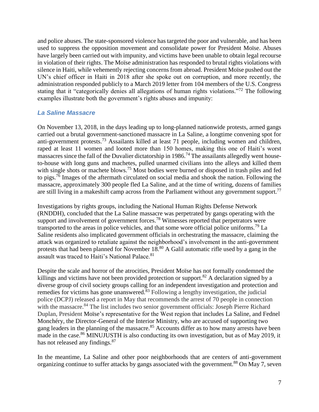and police abuses. The state-sponsored violence has targeted the poor and vulnerable, and has been used to suppress the opposition movement and consolidate power for President Moïse. Abuses have largely been carried out with impunity, and victims have been unable to obtain legal recourse in violation of their rights. The Moïse administration has responded to brutal rights violations with silence in Haiti, while vehemently rejecting concerns from abroad. President Moïse pushed out the UN's chief officer in Haiti in 2018 after she spoke out on corruption, and more recently, the administration responded publicly to a March 2019 letter from 104 members of the U.S. Congress stating that it "categorically denies all allegations of human rights violations."<sup>72</sup> The following examples illustrate both the government's rights abuses and impunity:

## *La Saline Massacre*

On November 13, 2018, in the days leading up to long-planned nationwide protests, armed gangs carried out a brutal government-sanctioned massacre in La Saline, a longtime convening spot for anti-government protests.<sup>73</sup> Assailants killed at least 71 people, including women and children, raped at least 11 women and looted more than 150 homes, making this one of Haiti's worst massacres since the fall of the Duvalier dictatorship in 1986.<sup>74</sup> The assailants allegedly went houseto-house with long guns and machetes, pulled unarmed civilians into the alleys and killed them with single shots or machete blows.<sup>75</sup> Most bodies were burned or disposed in trash piles and fed to pigs.<sup>76</sup> Images of the aftermath circulated on social media and shook the nation. Following the massacre, approximately 300 people fled La Saline, and at the time of writing, dozens of families are still living in a makeshift camp across from the Parliament without any government support.<sup>77</sup>

Investigations by rights groups, including the National Human Rights Defense Network (RNDDH), concluded that the La Saline massacre was perpetrated by gangs operating with the support and involvement of government forces.<sup>78</sup> Witnesses reported that perpetrators were transported to the areas in police vehicles, and that some wore official police uniforms.<sup>79</sup> La Saline residents also implicated government officials in orchestrating the massacre, claiming the attack was organized to retaliate against the neighborhood's involvement in the anti-government protests that had been planned for November 18.<sup>80</sup> A Galil automatic rifle used by a gang in the assault was traced to Haiti's National Palace.<sup>81</sup>

Despite the scale and horror of the atrocities, President Moïse has not formally condemned the killings and victims have not been provided protection or support.<sup>82</sup> A declaration signed by a diverse group of civil society groups calling for an independent investigation and protection and remedies for victims has gone unanswered. $83$  Following a lengthy investigation, the judicial police (DCPJ) released a report in May that recommends the arrest of 70 people in connection with the massacre.<sup>84</sup> The list includes two senior government officials: Joseph Pierre Richard Duplan, President Moïse's representative for the West region that includes La Saline, and Fednel Monchéry, the Director-General of the Interior Ministry, who are accused of supporting two gang leaders in the planning of the massacre.<sup>85</sup> Accounts differ as to how many arrests have been made in the case.<sup>86</sup> MINUJUSTH is also conducting its own investigation, but as of May 2019, it has not released any findings.<sup>87</sup>

In the meantime, La Saline and other poor neighborhoods that are centers of anti-government organizing continue to suffer attacks by gangs associated with the government.<sup>88</sup> On May 7, seven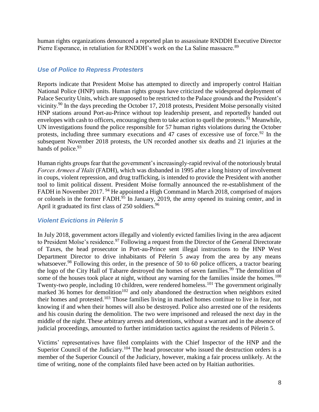human rights organizations denounced a reported plan to assassinate RNDDH Executive Director Pierre Esperance, in retaliation for RNDDH's work on the La Saline massacre.<sup>89</sup>

## *Use of Police to Repress Protesters*

Reports indicate that President Moïse has attempted to directly and improperly control Haitian National Police (HNP) units. Human rights groups have criticized the widespread deployment of Palace Security Units, which are supposed to be restricted to the Palace grounds and the President's vicinity.<sup>90</sup> In the days preceding the October 17, 2018 protests, President Moïse personally visited HNP stations around Port-au-Prince without top leadership present, and reportedly handed out envelopes with cash to officers, encouraging them to take action to quell the protests.<sup>91</sup> Meanwhile, UN investigations found the police responsible for 57 human rights violations during the October protests, including three summary executions and 47 cases of excessive use of force.<sup>92</sup> In the subsequent November 2018 protests, the UN recorded another six deaths and 21 injuries at the hands of police.<sup>93</sup>

Human rights groups fear that the government's increasingly-rapid revival of the notoriously brutal *Forces Armees d'Haïti* (FADH), which was disbanded in 1995 after a long history of involvement in coups, violent repression, and drug trafficking, is intended to provide the President with another tool to limit political dissent. President Moïse formally announced the re-establishment of the FADH in November 2017. <sup>94</sup> He appointed a High Command in March 2018, comprised of majors or colonels in the former FADH. $\frac{95}{2}$  In January, 2019, the army opened its training center, and in April it graduated its first class of 250 soldiers.<sup>96</sup>

## *Violent Evictions in Pèlerin 5*

In July 2018, government actors illegally and violently evicted families living in the area adjacent to President Moïse's residence.<sup>97</sup> Following a request from the Director of the General Directorate of Taxes, the head prosecutor in Port-au-Prince sent illegal instructions to the HNP West Department Director to drive inhabitants of Pèlerin 5 away from the area by any means whatsoever.<sup>98</sup> Following this order, in the presence of 50 to 60 police officers, a tractor bearing the logo of the City Hall of Tabarre destroyed the homes of seven families.<sup>99</sup> The demolition of some of the houses took place at night, without any warning for the families inside the homes.<sup>100</sup> Twenty-two people, including 10 children, were rendered homeless.<sup>101</sup> The government originally marked 36 homes for demolition $102$  and only abandoned the destruction when neighbors exited their homes and protested.<sup>103</sup> Those families living in marked homes continue to live in fear, not knowing if and when their homes will also be destroyed. Police also arrested one of the residents and his cousin during the demolition. The two were imprisoned and released the next day in the middle of the night. These arbitrary arrests and detentions, without a warrant and in the absence of judicial proceedings, amounted to further intimidation tactics against the residents of Pèlerin 5.

Victims' representatives have filed complaints with the Chief Inspector of the HNP and the Superior Council of the Judiciary.<sup>104</sup> The head prosecutor who issued the destruction orders is a member of the Superior Council of the Judiciary, however, making a fair process unlikely. At the time of writing, none of the complaints filed have been acted on by Haitian authorities.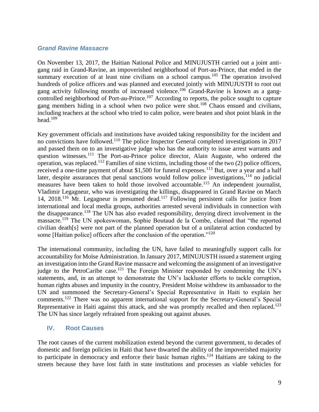#### *Grand Ravine Massacre*

On November 13, 2017, the Haitian National Police and MINUJUSTH carried out a joint antigang raid in Grand-Ravine, an impoverished neighborhood of Port-au-Prince, that ended in the summary execution of at least nine civilians on a school campus.<sup>105</sup> The operation involved hundreds of police officers and was planned and executed jointly with MINUJUSTH to root out gang activity following months of increased violence.<sup>106</sup> Grand-Ravine is known as a gangcontrolled neighborhood of Port-au-Prince.<sup>107</sup> According to reports, the police sought to capture gang members hiding in a school when two police were shot.<sup>108</sup> Chaos ensued and civilians, including teachers at the school who tried to calm police, were beaten and shot point blank in the head. $109$ 

Key government officials and institutions have avoided taking responsibility for the incident and no convictions have followed.<sup>110</sup> The police Inspector General completed investigations in 2017 and passed them on to an investigative judge who has the authority to issue arrest warrants and question witnesses.<sup>111</sup> The Port-au-Prince police director, Alain Auguste, who ordered the operation, was replaced.<sup>112</sup> Families of nine victims, including those of the two  $(2)$  police officers, received a one-time payment of about \$1,500 for funeral expenses.<sup>113</sup> But, over a year and a half later, despite assurances that penal sanctions would follow police investigations,<sup>114</sup> no judicial measures have been taken to hold those involved accountable.<sup>115</sup> An independent journalist, Vladimir Legagneur, who was investigating the killings, disappeared in Grand Ravine on March 14, 2018.<sup>116</sup> Mr. Legagneur is presumed dead.<sup>117</sup> Following persistent calls for justice from international and local media groups, authorities arrested several individuals in connection with the disappearance.<sup>118</sup> The UN has also evaded responsibility, denying direct involvement in the massacre.<sup>119</sup> The UN spokeswoman, Sophie Boutaud de la Combe, claimed that "the reported civilian death[s] were not part of the planned operation but of a unilateral action conducted by some [Haitian police] officers after the conclusion of the operation."<sup>120</sup>

The international community, including the UN, have failed to meaningfully support calls for accountability for Moïse Administration. In January 2017, MINUJUSTH issued a statement urging an investigation into the Grand Ravine massacre and welcoming the assignment of an investigative judge to the PetroCaribe case.<sup>121</sup> The Foreign Minister responded by condemning the UN's statements, and, in an attempt to demonstrate the UN's lackluster efforts to tackle corruption, human rights abuses and impunity in the country, President Moïse withdrew its ambassador to the UN and summoned the Secretary-General's Special Representative in Haiti to explain her comments.<sup>122</sup> There was no apparent international support for the Secretary-General's Special Representative in Haiti against this attack, and she was promptly recalled and then replaced.<sup>123</sup> The UN has since largely refrained from speaking out against abuses.

#### **IV. Root Causes**

The root causes of the current mobilization extend beyond the current government, to decades of domestic and foreign policies in Haiti that have thwarted the ability of the impoverished majority to participate in democracy and enforce their basic human rights.<sup>124</sup> Haitians are taking to the streets because they have lost faith in state institutions and processes as viable vehicles for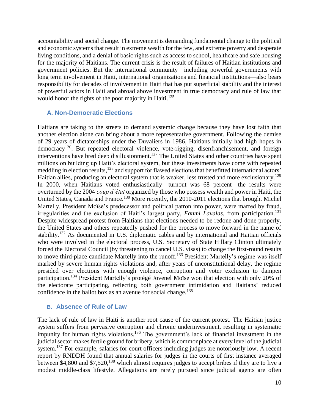accountability and social change. The movement is demanding fundamental change to the political and economic systems that result in extreme wealth for the few, and extreme poverty and desperate living conditions, and a denial of basic rights such as access to school, healthcare and safe housing for the majority of Haitians. The current crisis is the result of failures of Haitian institutions and government policies. But the international community—including powerful governments with long term involvement in Haiti, international organizations and financial institutions—also bears responsibility for decades of involvement in Haiti that has put superficial stability and the interest of powerful actors in Haiti and abroad above investment in true democracy and rule of law that would honor the rights of the poor majority in Haiti.<sup>125</sup>

#### **A. Non-Democratic Elections**

Haitians are taking to the streets to demand systemic change because they have lost faith that another election alone can bring about a more representative government. Following the demise of 29 years of dictatorships under the Duvaliers in 1986, Haitians initially had high hopes in democracy<sup>126</sup>. But repeated electoral violence, vote-rigging, disenfranchisement, and foreign interventions have bred deep disillusionment.<sup>127</sup> The United States and other countries have spent millions on building up Haiti's electoral system, but these investments have come with repeated meddling in election results, <sup>128</sup> and support for flawed elections that benefitted international actors' Haitian allies, producing an electoral system that is weaker, less trusted and more exclusionary.<sup>129</sup> In 2000, when Haitians voted enthusiastically—turnout was 68 percent—the results were overturned by the 2004 *coup d'état* organized by those who possess wealth and power in Haiti, the United States, Canada and France.<sup>130</sup> More recently, the 2010-2011 elections that brought Michel Martelly, President Moïse's predecessor and political patron into power, were marred by fraud, irregularities and the exclusion of Haiti's largest party, *Fanmi Lavalas*, from participation.<sup>131</sup> Despite widespread protest from Haitians that elections needed to be redone and done properly, the United States and others repeatedly pushed for the process to move forward in the name of stability.<sup>132</sup> As documented in U.S. diplomatic cables and by international and Haitian officials who were involved in the electoral process, U.S. Secretary of State Hillary Clinton ultimately forced the Electoral Council (by threatening to cancel U.S. visas) to change the first-round results to move third-place candidate Martelly into the runoff.<sup>133</sup> President Martelly's regime was itself marked by severe human rights violations and, after years of unconstitutional delay, the regime presided over elections with enough violence, corruption and voter exclusion to dampen participation.<sup>134</sup> President Martelly's protégé Jovenel Moïse won that election with only 20% of the electorate participating, reflecting both government intimidation and Haitians' reduced confidence in the ballot box as an avenue for social change.<sup>135</sup>

#### **B. Absence of Rule of Law**

The lack of rule of law in Haiti is another root cause of the current protest. The Haitian justice system suffers from pervasive corruption and chronic underinvestment, resulting in systematic impunity for human rights violations.<sup>136</sup> The government's lack of financial investment in the judicial sector makes fertile ground for bribery, which is commonplace at every level of the judicial system.<sup>137</sup> For example, salaries for court officers including judges are notoriously low. A recent report by RNDDH found that annual salaries for judges in the courts of first instance averaged between \$4,800 and \$7,520,<sup>138</sup> which almost requires judges to accept bribes if they are to live a modest middle-class lifestyle. Allegations are rarely pursued since judicial agents are often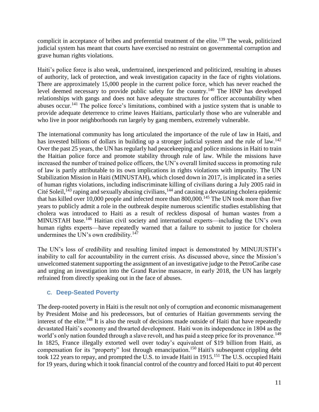complicit in acceptance of bribes and preferential treatment of the elite.<sup>139</sup> The weak, politicized judicial system has meant that courts have exercised no restraint on governmental corruption and grave human rights violations.

Haiti's police force is also weak, undertrained, inexperienced and politicized, resulting in abuses of authority, lack of protection, and weak investigation capacity in the face of rights violations. There are approximately 15,000 people in the current police force, which has never reached the level deemed necessary to provide public safety for the country.<sup>140</sup> The HNP has developed relationships with gangs and does not have adequate structures for officer accountability when abuses occur.<sup>141</sup> The police force's limitations, combined with a justice system that is unable to provide adequate deterrence to crime leaves Haitians, particularly those who are vulnerable and who live in poor neighborhoods run largely by gang members, extremely vulnerable.

The international community has long articulated the importance of the rule of law in Haiti, and has invested billions of dollars in building up a stronger judicial system and the rule of law.<sup>142</sup> Over the past 25 years, the UN has regularly had peacekeeping and police missions in Haiti to train the Haitian police force and promote stability through rule of law. While the missions have increased the number of trained police officers, the UN's overall limited success in promoting rule of law is partly attributable to its own implications in rights violations with impunity. The UN Stabilization Mission in Haiti (MINUSTAH), which closed down in 2017, is implicated in a series of human rights violations, including indiscriminate killing of civilians during a July 2005 raid in Cité Soleil,  $143$  raping and sexually abusing civilians,  $144$  and causing a devastating cholera epidemic that has killed over 10,000 people and infected more than 800,000.<sup>145</sup> The UN took more than five years to publicly admit a role in the outbreak despite numerous scientific studies establishing that cholera was introduced to Haiti as a result of reckless disposal of human wastes from a MINUSTAH base.<sup>146</sup> Haitian civil society and international experts—including the UN's own human rights experts—have repeatedly warned that a failure to submit to justice for cholera undermines the UN's own credibility. $147$ 

The UN's loss of credibility and resulting limited impact is demonstrated by MINUJUSTH's inability to call for accountability in the current crisis. As discussed above, since the Mission's unwelcomed statement supporting the assignment of an investigative judge to the PetroCaribe case and urging an investigation into the Grand Ravine massacre, in early 2018, the UN has largely refrained from directly speaking out in the face of abuses.

#### **C. Deep-Seated Poverty**

The deep-rooted poverty in Haiti is the result not only of corruption and economic mismanagement by President Moïse and his predecessors, but of centuries of Haitian governments serving the interest of the elite.<sup>148</sup> It is also the result of decisions made outside of Haiti that have repeatedly devastated Haiti's economy and thwarted development. Haiti won its independence in 1804 as the world's only nation founded through a slave revolt, and has paid a steep price for its provenance.<sup>149</sup> In 1825, France illegally [extorted well over today's equivalent of \\$19](https://www.globalresearch.ca/haiti-independence-debt-reparations-for-slavery-and-colonialism-and-international-aid/5334619) billion from Haiti, as compensation for its "property" lost through emancipation.<sup>150</sup> Haiti's subsequent crippling debt took 122 years to repay, and prompted the U.S. to invade Haiti in 1915.<sup>151</sup> The U.S. occupied Haiti for 19 years, during which it took financial control of the country and forced Haiti to put 40 percent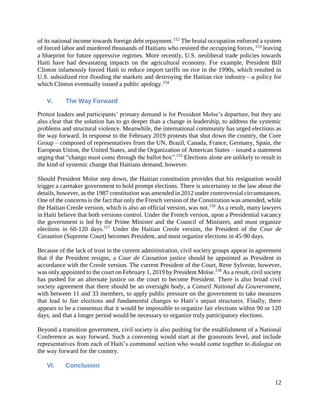of its national income towards foreign debt repayment.<sup>152</sup> The brutal occupation enforced a system of forced labor and murdered thousands of Haitians who resisted the occupying forces, <sup>153</sup> leaving a blueprint for future oppressive regimes. More recently, U.S. neoliberal trade policies towards Haiti have had devastating impacts on the agricultural economy. For example, President Bill Clinton infamously forced Haiti to reduce import tariffs on rice in the 1990s, which resulted in U.S. subsidized rice flooding the markets and destroying the Haitian rice industry—a policy for which Clinton eventually issued a public apology.<sup>154</sup>

## **V. The Way Forward**

Protest leaders and participants' primary demand is for President Moïse's departure, but they are also clear that the solution has to go deeper than a change in leadership, to address the systemic problems and structural violence. Meanwhile, the international community has urged elections as the way forward. In response to the February 2019 protests that shut down the country, the Core Group – composed of representatives from the UN, Brazil, Canada, France, Germany, Spain, the European Union, the United States, and the Organization of American States – issued a statement urging that "change must come through the ballot box". <sup>155</sup> Elections alone are unlikely to result in the kind of systemic change that Haitians demand, however.

Should President Moïse step down, the Haitian constitution provides that his resignation would trigger a caretaker government to hold prompt elections. There is uncertainty in the law about the details, however, as the 1987 constitution was amended in 2012 under controversial circumstances. One of the concerns is the fact that only the French version of the Constitution was amended, while the Haitian Creole version, which is also an official version, was not.<sup>156</sup> As a result, many lawyers in Haiti believe that both versions control. Under the French version, upon a Presidential vacancy the government is led by the Prime Minister and the Council of Ministers, and must organize elections in 60-120 days.<sup>157</sup> Under the Haitian Creole version, the President of the *Cour de Cassation* (Supreme Court) becomes President, and must organize elections in 45-90 days.

Because of the lack of trust in the current administration, civil society groups appear in agreement that if the President resigns, a *Cour de Cassation* justice should be appointed as President in accordance with the Creole version. The current President of the Court, Rene Sylveste, however, was only appointed to the court on February 1, 2019 by President Moïse.<sup>158</sup> As a result, civil society has pushed for an alternate justice on the court to become President. There is also broad civil society agreement that there should be an oversight body, a *Conseil National du Gouvernment*, with between 11 and 33 members, to apply public pressure on the government to take measures that lead to fair elections and fundamental changes to Haiti's unjust structures. Finally, there appears to be a consensus that it would be impossible to organize fair elections within 90 or 120 days, and that a longer period would be necessary to organize truly participatory elections.

Beyond a transition government, civil society is also pushing for the establishment of a National Conference as way forward. Such a convening would start at the grassroots level, and include representatives from each of Haiti's communal section who would come together to dialogue on the way forward for the country.

## **VI. Conclusion**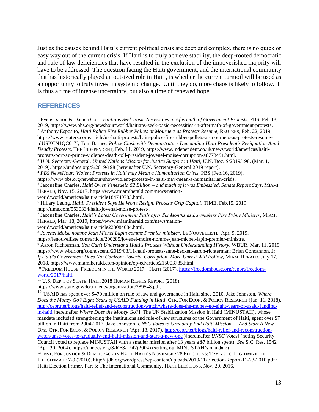Just as the causes behind Haiti's current political crisis are deep and complex, there is no quick or easy way out of the current crisis. If Haiti is to truly achieve stability, the deep-rooted democratic and rule of law deficiencies that have resulted in the exclusion of the impoverished majority will have to be addressed. The question facing the Haiti government, and the international community that has historically played an outsized role in Haiti, is whether the current turmoil will be used as an opportunity to truly invest in systemic change. Until they do, more chaos is likely to follow. It is thus a time of intense uncertainty, but also a time of renewed hope.

#### **REFERENCES**

<sup>13</sup> INST. FOR JUSTICE & DEMOCRACY IN HAITI, HAITI'S NOVEMBER 28 ELECTIONS: TRYING TO LEGITIMIZE THE ILLEGITIMATE 7-9 (2010), http://ijdh.org/wordpress/wp-content/uploads/2010/11/Election-Report-11-23-2010.pdf ; Haiti Election Primer, Part 5: The International Community, HAITI ELECTIONS, Nov. 20, 2016,

<sup>1</sup> Evens Sanon & Danica Coto, *Haitians Seek Basic Necessities in Aftermath of Government Protests*, PBS, Feb.18, 2019, https://www.pbs.org/newshour/world/haitians-seek-basic-necessities-in-aftermath-of-government-protests. <sup>2</sup> Anthony Esposito, *Haiti Police Fire Rubber Pellets at Mourners as Protests Resume*, REUTERS, Feb. 22, 2019, https://www.reuters.com/article/us-haiti-protests/haiti-police-fire-rubber-pellets-at-mourners-as-protests-resumeidUSKCN1QC01Y; Tom Barnes, *Police Clash with Demonstrators Demanding Haiti President's Resignation Amid Deadly Protests*, THE INDEPENDENT, Feb. 11, 2019, https://www.independent.co.uk/news/world/americas/haitiprotests-port-au-prince-violence-death-toll-president-jovenel-moise-corruption-a8773491.html. <sup>3</sup> U.N. Secretary-General, *United Nations Mission for Justice Support in Haiti*, U.N. Doc. S/2019/198, (Mar. 1, 2019), <https://undocs.org/S/2019/198> [hereinafter U.N. Secretary-General 2019 report]. <sup>4</sup> *PBS NewsHour: Violent Protests in Haiti may Mean a Humanitarian Crisis*, PBS (Feb.16, 2019), https://www.pbs.org/newshour/show/violent-protests-in-haiti-may-mean-a-humanitarian-crisis. 5 Jacqueline Charles, *Haiti Owes Venezuela \$2 Billion – and much of it was Embezzled, Senate Report Says*, MIAMI HERALD, Nov. 15, 2017, https://www.miamiherald.com/news/nationworld/world/americas/haiti/article184740783.html. <sup>6</sup> Hillary Leung, *Haiti: President Says He Won't Resign, Protests Grip Capital*, TIME, Feb.15, 2019, http://time.com/5530334/haiti-jovenal-moise-protest/. 7 Jacqueline Charles, *Haiti's Latest Government Falls after Six Months as Lawmakers Fire Prime Minister*, MIAMI HERALD, Mar. 18, 2019, https://www.miamiherald.com/news/nationworld/world/americas/haiti/article228084084.html. 8 *Jovenel Moise nomme Jean Michel Lapin comme Premier minister*, LE NOUVELLISTE, Apr. 9, 2019, https://lenouvelliste.com/article/200285/jovenel-moise-nomme-jean-michel-lapin-premier-ministre. <sup>9</sup> Aaron Richterman, *You Can't Understand Haiti's Protests Without Understanding History*, WBUR, Mar. 11, 2019, https://www.wbur.org/cognoscenti/2019/03/11/haiti-protests-anne-beckett-aaron-richterman; Brian Concannon, Jr., *If Haiti's Government Does Not Confront Poverty, Corruption, More Unrest Will Follow,* MIAMI HERALD, July 17, 2018, https://www.miamiherald.com/opinion/op-ed/article215003785.html. <sup>10</sup> FREEDOM HOUSE, FREEDOM IN THE WORLD 2017 – HAITI (2017), [https://freedomhouse.org/report/freedom](https://freedomhouse.org/report/freedom-world/2017/haiti)[world/2017/haiti.](https://freedomhouse.org/report/freedom-world/2017/haiti) <sup>11</sup> U.S. DEP'T OF STATE, HAITI 2018 HUMAN RIGHTS REPORT (2018), https://www.state.gov/documents/organization/289548.pdf. <sup>12</sup> USAID has spent over \$470 million on rule of law and governance in Haiti since 2010. Jake Johnston, *Where*   $\overline{a}$ 

*Does the Money Go? Eight Years of USAID Funding in Haiti*, CTR. FOR ECON. & POLICY RESEARCH (Jan. 11, 2018), [http://cepr.net/blogs/haiti-relief-and-reconstruction-watch/where-does-the-money-go-eight-years-of-usaid-funding](http://cepr.net/blogs/haiti-relief-and-reconstruction-watch/where-does-the-money-go-eight-years-of-usaid-funding-in-haiti)[in-haiti](http://cepr.net/blogs/haiti-relief-and-reconstruction-watch/where-does-the-money-go-eight-years-of-usaid-funding-in-haiti) [hereinafter *Where Does the Money Go?*]. The UN Stabilization Mission in Haiti (MINUSTAH), whose mandate included strengthening the institutions and rule-of-law structures of the Government of Haiti, spent over \$7 billion in Haiti from 2004-2017. Jake Johnston, *UNSC Votes to Gradually End Haiti Mission — And Start A New One*, CTR. FOR ECON. & POLICY RESEARCH (Apr. 13, 2017), [http://cepr.net/blogs/haiti-relief-and-reconstruction](http://cepr.net/blogs/haiti-relief-and-reconstruction-watch/unsc-votes-to-gradually-end-haiti-mission-and-start-a-new-one)[watch/unsc-votes-to-gradually-end-haiti-mission-and-start-a-new-one](http://cepr.net/blogs/haiti-relief-and-reconstruction-watch/unsc-votes-to-gradually-end-haiti-mission-and-start-a-new-one) )[hereinafter *UNSC Votes*] (noting Security Council voted to replace MINUSTAH with a smaller mission after 13 years a \$7 billion spent); *See* S.C. Res. 1542 (Apr. 30, 2004), https://undocs.org/S/RES/1542(2004) (setting out MINUSTAH's mandate).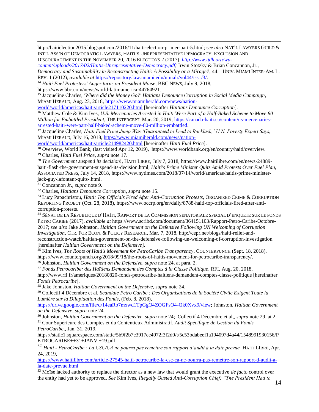http://haitielection2015.blogspot.com/2016/11/haiti-election-primer-part-5.html; s*ee also* NAT'L LAWYERS GUILD & INT'L ASS'N OF DEMOCRATIC LAWYERS, HAITI'S UNREPRESENTATIVE DEMOCRACY: EXCLUSION AND DISCOURAGEMENT IN THE NOVEMBER 20, 2016 ELECTIONS 2 (2017), *[http://www.ijdh.org/wp-](http://www.ijdh.org/wp-content/uploads/2017/02/Haitis-Unrepresentative-Democracy.pdf)*

*[content/uploads/2017/02/Haitis-Unrepresentative-Democracy.pdf;](http://www.ijdh.org/wp-content/uploads/2017/02/Haitis-Unrepresentative-Democracy.pdf)* Irwin Stotzky & Brian Concannon, Jr.,

*Democracy and Sustainability in Reconstructing Haiti: A Possibility or a Mirage?*, 44:1 UNIV. MIAMI INTER-AM. L. REV. 1 (2012), *available at* [https://repository.law.miami.edu/umialr/vol44/iss1/3/.](https://repository.law.miami.edu/umialr/vol44/iss1/3/)

<sup>14</sup> *Haiti Fuel Protesters' Anger turns on President Moïse*, BBC NEWS, July 9, 2018,

https://www.bbc.com/news/world-latin-america-44764921.

<sup>15</sup> Jacqueline Charles, *'Where did the Money Go?' Haitians Denounce Corruption in Social Media Campaign*, MIAMI HERALD, Aug. 23, 2018, [https://www.miamiherald.com/news/nation-](https://www.miamiherald.com/news/nation-world/world/americas/haiti/article217110220.html)

[world/world/americas/haiti/article217110220.html](https://www.miamiherald.com/news/nation-world/world/americas/haiti/article217110220.html) [hereinafter *Haitians Denounce Corruption*].

<sup>16</sup> Matthew Cole & Kim Ives, *U.S. Mercenaries Arrested in Haiti Were Part of a Half-Baked Scheme to Move 80 Million for Embattled President*, THE INTERCEPT, Mar. 20, 2019, [https://canada-haiti.ca/content/us-mercenaries](https://canada-haiti.ca/content/us-mercenaries-arrested-haiti-were-part-half-baked-scheme-move-80-million-embattled)[arrested-haiti-were-part-half-baked-scheme-move-80-million-embattled.](https://canada-haiti.ca/content/us-mercenaries-arrested-haiti-were-part-half-baked-scheme-move-80-million-embattled)

<sup>17</sup> Jacqueline Charles, *Haiti Fuel Price Jump Was 'Guaranteed to Lead to Backlash,' U.N. Poverty Expert Says,*  MIAMI HERALD, July 16, 2018, [https://www.miamiherald.com/news/nation-](https://www.miamiherald.com/news/nation-world/world/americas/haiti/article214982420.html)

[world/world/americas/haiti/article214982420.html](https://www.miamiherald.com/news/nation-world/world/americas/haiti/article214982420.html) [hereinafter *Haiti Fuel Price*].

<sup>18</sup> *Overview*, World Bank, (last visited Apr 12, 2019), https://www.worldbank.org/en/country/haiti/overview. <sup>19</sup> Charles, *Haiti Fuel Price*, *supra* note 17.

<sup>20</sup> *The Government suspend its decision*!, HAITI LIBRE, July 7, 2018, [https://www.haitilibre.com/en/news-24889](https://www.haitilibre.com/en/news-24889-haiti-flash-the-government-suspend-its-decision.html) [haiti-flash-the-government-suspend-its-decision.html;](https://www.haitilibre.com/en/news-24889-haiti-flash-the-government-suspend-its-decision.html) *Haiti's Prime Minister Quits Amid Protests Over Fuel Plan*, ASSOCIATED PRESS, July 14, 2018, https://www.nytimes.com/2018/07/14/world/americas/haitis-prime-ministerjack-guy-lafontant-quits-.html.

<sup>21</sup> Concannon Jr., *supra* note 9.

 $\overline{a}$ 

<sup>22</sup> Charles, *Haitians Denounce Corruption*, *supra* note 15.

<sup>23</sup> Lucy Papachristou, *Haiti: Top Officials Fired After Anti-Corruption Protests*, ORGANIZED CRIME & CORRUPTION REPORTING PROJECT (Oct. 28, 2018)[, https://www.occrp.org/en/daily/8788-haiti-top-officials-fired-after-anti](https://www.occrp.org/en/daily/8788-haiti-top-officials-fired-after-anti-corruption-protests)[corruption-protests.](https://www.occrp.org/en/daily/8788-haiti-top-officials-fired-after-anti-corruption-protests)

<sup>24</sup> SÉNAT DE LA RÉPUBLIQUE D'HAÏTI, RAPPORT DE LA COMMISSION SENATORIALE SPECIAL D'ENQUETE SUR LE FONDS PETRO CARIBE (2017), *available at* https://www.scribd.com/document/364151103/Rapport-Petro-Caribe-Octobre-2017; *see also* Jake Johnston, *Haitian Government on the Defensive Following UN Welcoming of Corruption Investigation*, CTR. FOR ECON. & POLICY RESEARCH, Mar. 7, 2018, [http://cepr.net/blogs/haiti-relief-and](http://cepr.net/blogs/haiti-relief-and-reconstruction-watch/haitian-government-on-the-defensive-following-un-welcoming-of-corruption-investigation)[reconstruction-watch/haitian-government-on-the-defensive-following-un-welcoming-of-corruption-investigation](http://cepr.net/blogs/haiti-relief-and-reconstruction-watch/haitian-government-on-the-defensive-following-un-welcoming-of-corruption-investigation) [hereinafter *Haitian Government on the Defensive*].

<sup>25</sup> Kim Ives, *The Roots of Haiti's Movement for PetroCaribe Transparency*, COUNTERPUNCH (Sept. 18, 2018), https://www.counterpunch.org/2018/09/18/the-roots-of-haitis-movement-for-petrocaribe-transparency/. <sup>26</sup> Johnston, *Haitian Government on the Defensive*, *supra* note 24, at para. 2.

<sup>27</sup> *Fonds Petrocaribe: des Haïtiens Demandent des Comptes à la Classe Politique*, RFI, Aug. 20, 2018, <http://www.rfi.fr/ameriques/20180820-fonds-petrocaribe-haitiens-demandent-comptes-classe-politique> [hereinafter *Fonds Petrocaribe*].

<sup>28</sup> Jake Johnston, *Haitian Government on the Defensive*, *supra* note 24.

<sup>29</sup> Collectif 4 Décembre et al, *Scandale Petro Caribe : Des Organisations de la Société Civile Exigent Toute la Lumière sur la Dilapidation des Fonds*, (Feb. 8, 2018),

[https://drive.google.com/file/d/14eaRb7mxwd1TpGgQ4ZOGFsO4-Qk0Xvx9/view;](https://drive.google.com/file/d/14eaRb7mxwd1TpGgQ4ZOGFsO4-Qk0Xvx9/view) Johnston, *Haitian Government on the Defensive*, *supra* note 24.

<sup>30</sup> Johnston, *Haitian Government on the Defensive, supra* note 24;Collectif 4 Décembre et al,, *supra* note 29, at 2.

<sup>31</sup> Cour Supérieure des Comptes et du Contentieux Administratif, *Audit Spécifique de Gestion du Fonds PetroCaribe*,, Jan. 31, 2019,

[https://static1.squarespace.com/static/5b9f2b7c3917ee4972f3f2d0/t/5c53bdabeef1a194097d4a44/1548991930156/P](https://static1.squarespace.com/static/5b9f2b7c3917ee4972f3f2d0/t/5c53bdabeef1a194097d4a44/1548991930156/PETROCARIBE++31+JANV.+19.pdf) [ETROCARIBE++31+JANV.+19.pdf.](https://static1.squarespace.com/static/5b9f2b7c3917ee4972f3f2d0/t/5c53bdabeef1a194097d4a44/1548991930156/PETROCARIBE++31+JANV.+19.pdf)

<sup>32</sup> Haïti - PetroCaribe : La CSC/CA ne pourra pas remettre son rapport d'audit à la date prevue, HAITI LIBRE, Apr. 24, 2019,

[https://www.haitilibre.com/article-27545-haiti-petrocaribe-la-csc-ca-ne-pourra-pas-remettre-son-rapport-d-audit-a](https://www.haitilibre.com/article-27545-haiti-petrocaribe-la-csc-ca-ne-pourra-pas-remettre-son-rapport-d-audit-a-la-date-prevue.html)[la-date-prevue.html](https://www.haitilibre.com/article-27545-haiti-petrocaribe-la-csc-ca-ne-pourra-pas-remettre-son-rapport-d-audit-a-la-date-prevue.html)

<sup>33</sup> Moïse lacked authority to replace the director as a new law that would grant the executive *de facto* control over the entity had yet to be approved. *See* Kim Ives, *Illegally Ousted Anti-Corruption Chief: "The President Had to*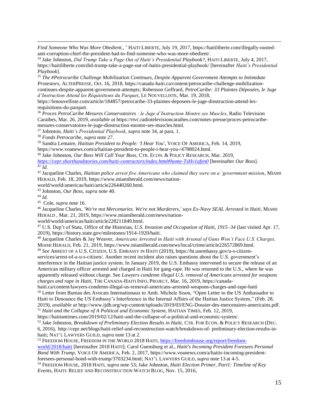*Find Someone Who Was More Obedient.*,*"* HAITI LIBERTE, July 19, 2017, https://haitiliberte.com/illegally-oustedanti-corruption-chief-the-president-had-to-find-someone-who-was-more-obedient/.

<sup>34</sup> Jake Johnston, *Did Trump Take a Page Out of Haiti's Presidential Playbook?*, HAITI LIBERTE, July 4, 2017, <https://haitiliberte.com/did-trump-take-a-page-out-of-haitis-presidential-playbook/> [hereinafter *Haiti's Presidential Playbook*].

<sup>35</sup> *The #Petrocaribe Challenge Mobilization Continues, Despite Apparent Government Attempts to Intimidate Protestors*, ALTERPRESSE, Oct. 16, 2018, [https://canada-haiti.ca/content/petrocaribe-challenge-mobilization](https://canada-haiti.ca/content/petrocaribe-challenge-mobilization-continues-despite-apparent-government-attempts)[continues-despite-apparent-government-attempts;](https://canada-haiti.ca/content/petrocaribe-challenge-mobilization-continues-despite-apparent-government-attempts) Robenson Geffrard, *PetroCaribe: 33 Plaintes Déposées, le Juge d'Instruction Attend les Réquisitions du Parquet*, LE NOUVELLISTE, Mar. 19, 2018,

[https://lenouvelliste.com/article/184857/petrocaribe-33-plaintes-deposees-le-juge-dinstruction-attend-les](https://lenouvelliste.com/article/184857/petrocaribe-33-plaintes-deposees-le-juge-dinstruction-attend-les-requisitions-du-parquet)[requisitions-du-parquet.](https://lenouvelliste.com/article/184857/petrocaribe-33-plaintes-deposees-le-juge-dinstruction-attend-les-requisitions-du-parquet)

<sup>36</sup> *Proces PetroCaribe Mesures Conservatoires : le Juge d'Instruction Montre ses Muscles*, Radio Television Caraibes, Mar. 26, 2019, *available at* [https://rtvc.radiotelevisioncaraibes.com/notes-presse/proces-petrocaribe](https://rtvc.radiotelevisioncaraibes.com/notes-presse/proces-petrocaribe-mesures-conservatoires-le-juge-dinstruction-montre-ses-muscles.html)[mesures-conservatoires-le-juge-dinstruction-montre-ses-muscles.html.](https://rtvc.radiotelevisioncaraibes.com/notes-presse/proces-petrocaribe-mesures-conservatoires-le-juge-dinstruction-montre-ses-muscles.html)

<sup>37</sup> Johnston, *Haiti's Presidential Playbook*, *supra* note 34, at para. 1.

<sup>38</sup> *Fonds Petrocaribe*, *supra* note 27.

<sup>39</sup> Sandra Lemaire, *Haitian President to People: 'I Hear You'*, VOICE OF AMERICA, Feb. 14, 2019, [https://www.voanews.com/a/haitian-president-to-people-i-hear-you-/4788024.html.](https://www.voanews.com/a/haitian-president-to-people-i-hear-you-/4788024.html)

<sup>40</sup> Jake Johnston, *Our Boss Will Call Your Boss,* CTR. ECON. & POLICY RESEARCH, Mar. 2019,

*<https://cepr.shorthandstories.com/haiti-contractors/index.html#home-TsHv1afen0>* [hereinafter *Our Boss*]. <sup>41</sup> *Id.* 

<sup>42</sup> Jacqueline Charles, *Haitian police arrest five Americans who claimed they were on a 'government mission*, MIAMI HERALD, Feb. 18, 2019, [https://www.miamiherald.com/news/nation-](https://www.miamiherald.com/news/nation-world/world/americas/haiti/article226440260.html)

[world/world/americas/haiti/article226440260.html.](https://www.miamiherald.com/news/nation-world/world/americas/haiti/article226440260.html)

<sup>43</sup> Johnston, *Our Boss*, *supra* note 40.

<sup>44</sup> *Id.* 

 $\overline{a}$ 

<sup>45</sup> Cole, *supra* note 16.

<sup>46</sup> Jacqueline Charles, *'We're not Mercenaries. We're not Murderers,' says Ex-Navy SEAL Arrested in Haiti*, MIAMI HERALD , Mar. 21, 2019, https://www.miamiherald.com/news/nation-

world/world/americas/haiti/article228211849.html.

<sup>47</sup> U.S. Dep't of State, Office of the Historian, *U.S. Invasion and Occupation of Haiti, 1915–34* (last visited Apr. 17, 2019), [https://history.state.gov/milestones/1914-1920/haiti.](https://history.state.gov/milestones/1914-1920/haiti)

<sup>48</sup> Jacqueline Charles & Jay Weaver, *Americans Arrested in Haiti with Arsenal of Guns Won't Face U.S. Charges,*  MIAMI HERALD, Feb. 21, 2019, https://www.miamiherald.com/news/local/crime/article226572869.html.

<sup>49</sup> *See* ARREST OF A U.S. CITIZEN, U.S. EMBASSY IN HAITI (2019), https://ht.usembassy.gov/u-s-citizen-

services/arrest-of-a-u-s-citizen/. Another recent incident also raises questions about the U.S. government's interference in the Haitian justice system. In January 2019, the U.S. Embassy intervened to secure the release of an American military officer arrested and charged in Haiti for gang-rape. He was returned to the U.S., where he was apparently released without charge. See *Lawyers condemn illegal U.S. removal of Americans arrested for weapons charges and rape in Haiti*, THE CANADA-HAITI INFO. PROJECT, Mar. 16, 2019[, https://canada-](https://canada-haiti.ca/content/lawyers-condemn-illegal-us-removal-americans-arrested-weapons-charges-and-rape-haiti)

[haiti.ca/content/lawyers-condemn-illegal-us-removal-americans-arrested-weapons-charges-and-rape-haiti](https://canada-haiti.ca/content/lawyers-condemn-illegal-us-removal-americans-arrested-weapons-charges-and-rape-haiti) <sup>50</sup> Letter from Bureau des Avocats Internationaux to Amb. Michele Sison, "Open Letter to the US Ambassador to Haiti to Denounce the US Embassy's Interference in the Internal Affairs of the Haitian Justice System," (Feb. 28, 2019), *available at* [http://www.ijdh.org/wp-content/uploads/2019/03/ENG-Dossier-des-mercenaires-americains.pdf.](http://www.ijdh.org/wp-content/uploads/2019/03/ENG-Dossier-des-mercenaires-americains.pdf) <sup>51</sup> *Haiti and the Collapse of A Political and Economic System*, HAITIAN TIMES, Feb. 12, 2019,

https://haitiantimes.com/2019/02/12/haiti-and-the-collapse-of-a-political-and-economic-system/.

<sup>52</sup> Jake Johnston, *Breakdown of Preliminary Election Results in Haiti,* CTR. FOR ECON. & POLICY RESEARCH (DEC. 6, 2016), http://cepr.net/blogs/haiti-relief-and-reconstruction-watch/breakdown-of- preliminary-election-results-inhaiti; NAT'L LAWYERS GUILD, *supra* note 13 at 2.

<sup>53</sup> FREEDOM HOUSE, FREEDOM IN THE WORLD 2018 HAITI[, https://freedomhouse.org/report/freedom-](https://freedomhouse.org/report/freedom-world/2018/haiti)

[world/2018/haiti](https://freedomhouse.org/report/freedom-world/2018/haiti) [hereinafter 2018 HAITI]; Carol Guensburg et al., *Haiti's Incoming President Foresees Personal Bond With Trump*, VOICE OF AMERICA, Feb. 2, 2017[, https://www.voanews.com/a/haitis-incoming-president](https://www.voanews.com/a/haitis-incoming-president-foresees-personal-bond-with-trump/3703234.html)[foresees-personal-bond-with-trump/3703234.html;](https://www.voanews.com/a/haitis-incoming-president-foresees-personal-bond-with-trump/3703234.html) NAT'L LAWYERS GUILD, *supra* note 13 at 4-5.

<sup>54</sup> FREEDOM HOUSE, 2018 HAITI, *supra* note 53; Jake Johnston, *Haiti Election Primer, Part1: Timeline of Key Events,* HAITI: RELIEF AND RECONSTRUCTION WATCH BLOG, Nov. 15, 2016,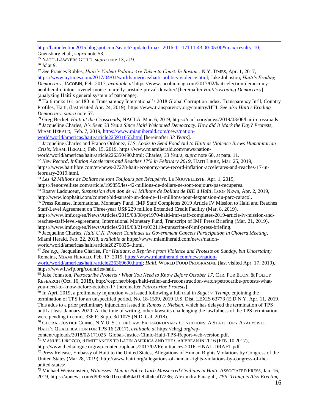[http://haitielection2015.blogspot.com/search?updated-max=2016-11-17T11:43:00-05:00&max-results=10;](http://haitielection2015.blogspot.com/search?updated-max=2016-11-17T11:43:00-05:00&max-results=10)

Guensburg et al., *supra* note 53.

<sup>55</sup> NAT'L LAWYERS GUILD, *supra* note 13, at 9.

<sup>56</sup> *Id* at 9.

 $\overline{a}$ 

<sup>57</sup> *See* Frances Robles, *Haiti's Violent Politics Are Taken to Court. In Boston.,* N.Y. TIMES, Apr. 1, 2017, [https://www.nytimes.com/2017/04/01/world/americas/haiti-politics-violence.html;](https://www.nytimes.com/2017/04/01/world/americas/haiti-politics-violence.html) Jake Johnston, *Haiti's Eroding Democracy*, JACOBIN, Feb. 2017, *available at* [https://www.jacobinmag.com/2017/02/haiti-election-democracy](https://www.jacobinmag.com/2017/02/haiti-election-democracy-neoliberal-clinton-jovenel-moise-martelly-aristide-preval-duvalier/)[neoliberal-clinton-jovenel-moise-martelly-aristide-preval-duvalier/](https://www.jacobinmag.com/2017/02/haiti-election-democracy-neoliberal-clinton-jovenel-moise-martelly-aristide-preval-duvalier/) [hereinafter *Haiti's Eroding Democracy*] (analyzing Haiti's general system of patronage).

<sup>58</sup> Haiti ranks 161 or 180 in Transparency International's 2018 Global Corruption index. Transparency Int'l, Country Profiles, Haiti, (last visited Apr. 24, 2019), [https://www.transparency.org/country/HTI.](https://www.transparency.org/country/HTI) *See also Haiti's Eroding Democracy*, *supra* note 57.

<sup>59</sup> Greg Becket, *Haiti at the Crossroads*, NACLA, Mar. 6, 2019, https://nacla.org/news/2019/03/06/haiti-crossroads <sup>60</sup> Jacqueline Charles, *It's Been 33 Years Since Haiti Welcomed Democracy. How did It Mark the Day? Protests*, MIAMI HERALD, Feb. 7, 2019, [https://www.miamiherald.com/news/nation-](https://www.miamiherald.com/news/nation-world/world/americas/haiti/article225931055.html)

[world/world/americas/haiti/article225931055.html](https://www.miamiherald.com/news/nation-world/world/americas/haiti/article225931055.html) [hereinafter *33 Years*].

<sup>61</sup> Jacqueline Charles and Franco Ordoñez, *U.S. Looks to Send Food Aid to Haiti as Violence Brews Humanitarian Crisis*, MIAMI HERALD, Feb. 15, 2019, [https://www.miamiherald.com/news/nation-](https://www.miamiherald.com/news/nation-world/world/americas/haiti/article226350490.html)

[world/world/americas/haiti/article226350490.html;](https://www.miamiherald.com/news/nation-world/world/americas/haiti/article226350490.html) Charles, *33 Years*, *supra* note 60, at para. 11.

<sup>62</sup> *New Record, Inflation Accelerates and Reaches 17% in February 2019*, HAITI LIBRE, Mar. 25, 2019,

[https://www.haitilibre.com/en/news-27278-haiti-economy-new-record-inflation-accelerates-and-reaches-17-in](https://www.haitilibre.com/en/news-27278-haiti-economy-new-record-inflation-accelerates-and-reaches-17-in-february-2019.html)[february-2019.html.](https://www.haitilibre.com/en/news-27278-haiti-economy-new-record-inflation-accelerates-and-reaches-17-in-february-2019.html)

<sup>63</sup> *Les 42 Millions de Dollars ne sont Toujours pas Récupérés,* LE NOUVELLISTE, Apr. 1, 2019,

https://lenouvelliste.com/article/199855/les-42-millions-de-dollars-ne-sont-toujours-pas-recuperes.

<sup>64</sup> Rosny Ladouceur, *Suspension d'un don de 41 Millions de Dollars de BID à Haïti*, LOOP NEWS, Apr. 2, 2019, http://www.loophaiti.com/content/bid-sursoit-un-don-de-41-millions-pour-lexpansion-du-parc-caracol.

<sup>65</sup> Press Release, International Monetary Fund, IMF Staff Completes 2019 Article IV Mission to Haiti and Reaches Staff-Level Agreement on Three-year US\$ 229 million Extended Credit Facility (Mar. 8, 2019),

[https://www.imf.org/en/News/Articles/2019/03/08/pr1970-haiti-imf-staff-completes-2019-article-iv-mission-and](https://www.imf.org/en/News/Articles/2019/03/08/pr1970-haiti-imf-staff-completes-2019-article-iv-mission-and-reaches-staff-level-agreement)[reaches-staff-level-agreement;](https://www.imf.org/en/News/Articles/2019/03/08/pr1970-haiti-imf-staff-completes-2019-article-iv-mission-and-reaches-staff-level-agreement) International Monetary Fund, Transcript of IMF Press Briefing (Mar. 21, 2019), https://www.imf.org/en/News/Articles/2019/03/21/tr032119-transcript-of-imf-press-briefing.

<sup>66</sup> Jacqueline Charles, *Haiti U.N. Protest Continues as Government Cancels Participation in Cholera Meeting*, Miami Herald, Feb. 22, 2018, *available at* https://www.miamiherald.com/news/nationworld/world/americas/haiti/article202768354.html.

<sup>67</sup> *See e.g.,* Jacqueline Charles, *For Haitians, a Reprieve from Violence and Protests on Sunday, but Uncertainty*  Remains, MIAMI HERALD, Feb. 17, 2019, [https://www.miamiherald.com/news/nation-](https://www.miamiherald.com/news/nation-world/world/americas/haiti/article226369690.html)

[world/world/americas/haiti/article226369690.html;](https://www.miamiherald.com/news/nation-world/world/americas/haiti/article226369690.html) *Haiti*, WORLD FOOD PROGRAMME (last visited Apr. 17, 2019), [https://www1.wfp.org/countries/haiti.](https://www1.wfp.org/countries/haiti)

<sup>68</sup> Jake Johnston, *Petrocaribe Protests : What You Need to Know Before October 17*, CTR. FOR ECON. & POLICY RESEARCH (Oct. 16, 2018)[, http://cepr.net/blogs/haiti-relief-and-reconstruction-watch/petrocaribe-protests-what](http://cepr.net/blogs/haiti-relief-and-reconstruction-watch/petrocaribe-protests-what-you-need-to-know-before-october-17)[you-need-to-know-before-october-17](http://cepr.net/blogs/haiti-relief-and-reconstruction-watch/petrocaribe-protests-what-you-need-to-know-before-october-17) [hereinafter *Petrocaribe Protests*].

<sup>69</sup> In April 2019, a preliminary injunction was issued following a full trial in *Saget v. Trump*, enjoining the termination of TPS for an unspecified period. No. 18-1599, 2019 U.S. Dist. LEXIS 63773 (E.D.N.Y. Apr. 11, 2019. This adds to a prior preliminary injunction issued in *Ramos v. Nielsen*, which has delayed the termination of TPS until at least January 2020. At the time of writing, other lawsuits challenging the lawfulness of the TPS termination were pending in court. 336 F. Supp. 3d 1075 (N.D. Cal. 2018).

 $^{70}$  GLOBAL JUSTICE CLINIC, N.Y.U. SCH. OF LAW, EXTRAORDINARY CONDITIONS: A STATUTORY ANALYSIS OF HAITI'S QUALIFICATION FOR TPS 16 (2017), *available at* [https://chrgj.org/wp-](https://chrgj.org/wp-content/uploads/2018/02/171025_Global-Justice-Clinic-Haiti-TPS-Report-web-version.pdf)

[content/uploads/2018/02/171025\\_Global-Justice-Clinic-Haiti-TPS-Report-web-version.pdf.](https://chrgj.org/wp-content/uploads/2018/02/171025_Global-Justice-Clinic-Haiti-TPS-Report-web-version.pdf)

<sup>71</sup> MANUEL OROZCO, REMITTANCES TO LATIN AMERICA AND THE CARIBBEAN IN 2016 (FEB. 10 2017),

http://www.thedialogue.org/wp-content/uploads/2017/02/Remittances-2016-FINAL-DRAFT.pdf.

 $72$  Press Release, Embassy of Haiti to the United States, Allegations of Human Rights Violations by Congress of the United States (Mar 28, 2019), [http://www.haiti.org/allegations-of-human-rights-violations-by-congress-of-the](http://www.haiti.org/allegations-of-human-rights-violations-by-congress-of-the-united-states/)[united-states/.](http://www.haiti.org/allegations-of-human-rights-violations-by-congress-of-the-united-states/)

<sup>73</sup> Michael Weissenstein, *Witnesses: Men in Police Garb Massacred Civilians in Haiti*, ASSOCIATED PRESS, Jan. 16, 2019, [https://apnews.com/d99258d01cce4b84a01e04b4eaff7236;](https://apnews.com/d99258d01cce4b84a01e04b4eaff7236) Alexandra Panaguli, *TPS: Trump is Also Erecting*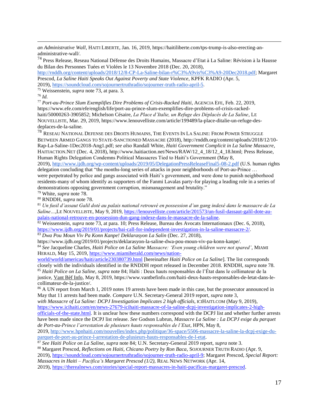*an Administrative Wall*, HAITI LIBERTE, Jan. 16, 2019, [https://haitiliberte.com/tps-trump-is-also-erecting-an](https://haitiliberte.com/tps-trump-is-also-erecting-an-administrative-wall/)[administrative-wall/.](https://haitiliberte.com/tps-trump-is-also-erecting-an-administrative-wall/)

<sup>74</sup> Press Release, Reseau National Défense des Droits Humains, Massacre d'Etat à La Saline: Révision à la Hausse du Bilan des Personnes Tuées et Violées le 13 Novembre 2018 (Dec. 20, 2018),

[http://rnddh.org/content/uploads/2018/12/8-CP-La-Saline-bilan-r%C3%A9vis%C3%A9-20Dec2018.pdf;](http://rnddh.org/content/uploads/2018/12/8-CP-La-Saline-bilan-r%C3%A9vis%C3%A9-20Dec2018.pdf) Margaret Prescod, *La Saline Haiti Speaks Out Against Poverty and State Violence*, KPFK RADIO (Apr. 5, 2019), [https://soundcloud.com/sojournertruthradio/sojourner-truth-radio-april-5.](https://soundcloud.com/sojournertruthradio/sojourner-truth-radio-april-5)

<sup>75</sup> Weissenstein, *supra* note 73, at para. 3.

<sup>76</sup> *Id.*

 $\overline{a}$ 

<sup>77</sup> *Port-au-Prince Slum Exemplifies Dire Problems of Crisis-Racked Haiti*, AGENCIA EFE, Feb. 22, 2019, [https://www.efe.com/efe/english/life/port-au-prince-slum-exemplifies-dire-problems-of-crisis-racked](https://www.efe.com/efe/english/life/port-au-prince-slum-exemplifies-dire-problems-of-crisis-racked-haiti/50000263-3905852)[haiti/50000263-3905852;](https://www.efe.com/efe/english/life/port-au-prince-slum-exemplifies-dire-problems-of-crisis-racked-haiti/50000263-3905852) Michelson Césaire, *La Place d'Italie, un Refuge des Déplacés de La Saline*, LE NOUVELLISTE, Mar. 29, 2019, [https://www.lenouvelliste.com/article/199489/la-place-ditalie-un-refuge-des](https://www.lenouvelliste.com/article/199489/la-place-ditalie-un-refuge-des-deplaces-de-la-saline)[deplaces-de-la-saline.](https://www.lenouvelliste.com/article/199489/la-place-ditalie-un-refuge-des-deplaces-de-la-saline)

<sup>78</sup> RESEAU NATIONAL DEFENSE DES DROITS HUMAINS, THE EVENTS IN LA SALINE: FROM POWER STRUGGLE BETWEEN ARMED GANGS TO STATE-SANCTIONED MASSACRE (2018), [http://rnddh.org/content/uploads/2018/12/10-](http://rnddh.org/content/uploads/2018/12/10-Rap-La-Saline-1Dec2018-Ang1.pdf) [Rap-La-Saline-1Dec2018-Ang1.pdf;](http://rnddh.org/content/uploads/2018/12/10-Rap-La-Saline-1Dec2018-Ang1.pdf) *see also* Randall White, *Haiti Government Complicit in La Saline Massacre*, HAITIACTION.NET (Dec. 4, 2018), http://www.haitiaction.net/News/RAW/12\_4\_18/12\_4\_18.html; Press Release, Human Rights Delegation Condemns Political Massacres Tied to Haiti's Government (May 8, 2019), <http://www.ijdh.org/wp-content/uploads/2019/05/DelegationPressReleaseFinal5-08-2.pdf> (U.S. human rights delegation concluding that "the months-long series of attacks in poor neighborhoods of Port-au-Prince … were perpetrated by police and gangs associated with Haiti's government, and were done to punish neighborhood residents-many of whom identify as supporters of the Fanmi Lavalas party-for playing a leading role in a series of

demonstrations opposing government corruption, mismanagement and brutality."

<sup>79</sup> White, *supra* note 78.

<sup>80</sup> RNDDH, *supra* note 78.

<sup>81</sup> *Un fusil d'assaut Galil doté au palais national retrouvé en possession d'un gang indexé dans le massacre de La Saline…,*LE NOUVELLISTE, May 9, 2019, [https://lenouvelliste.com/article/201573/un-fusil-dassaut-galil-dote-au](https://lenouvelliste.com/article/201573/un-fusil-dassaut-galil-dote-au-palais-national-retrouve-en-possession-dun-gang-indexe-dans-le-massacre-de-la-saline)[palais-national-retrouve-en-possession-dun-gang-indexe-dans-le-massacre-de-la-saline.](https://lenouvelliste.com/article/201573/un-fusil-dassaut-galil-dote-au-palais-national-retrouve-en-possession-dun-gang-indexe-dans-le-massacre-de-la-saline)

<sup>82</sup> Weissenstein, *supra* note 73, at para. 10; Press Release, Bureau des Avocats Internationaux (Dec. 6, 2018), [https://www.ijdh.org/2019/01/projects/bai-call-for-independent-investigation-in-la-saline-massacre-2/.](https://www.ijdh.org/2019/01/projects/bai-call-for-independent-investigation-in-la-saline-massacre-2/)

<sup>83</sup> *Dwa Pou Moun Viv Pa Konn Kanpe! Deklarasyon La Salin* (Dec. 27, 2018),

https://www.ijdh.org/2019/01/projects/deklarasyon-la-saline-dwa-pou-moun-viv-pa-konn-kanpe/.

<sup>84</sup> *See* Jacqueline Charles*, Haiti Police on La Saline Massacre: 'Even young children were not spared'*, MIAMI HERALD, May 15, 2019[, https://www.miamiherald.com/news/nation-](https://www.miamiherald.com/news/nation-world/world/americas/haiti/article230380739.html)

[world/world/americas/haiti/article230380739.html](https://www.miamiherald.com/news/nation-world/world/americas/haiti/article230380739.html) [hereinafter *Haiti Police on La Saline*]. The list corresponds closely with the individuals identified in the RNDDH report released in December 2018. RNDDH, *supra* note 78. <sup>85</sup> *Haiti Police on La Saline*, *supra* note 84; Haïti : Deux hauts responsables de l'État dans le collimateur de la justice, [Vant Bèf Info,](https://www.vantbefinfo.com/author/ruben/) May 8, 2019, https://www.vantbefinfo.com/haiti-deux-hauts-responsables-de-letat-dans-lecollimateur-de-la-justice/.

<sup>86</sup> A UN report from March 1, 2019 notes 19 arrests have been made in this case, but the prosecutor announced in May that 11 arrests had been made. *Compare* U.N. Secretary-General 2019 report, *supra* note 3,

*with Massacre of La Saline: DCPJ Investigation Implicates 2 high officials,* ICIHAITI.COM (May 9, 2019), [https://www.icihaiti.com/en/news-27679-icihaiti-massacre-of-la-saline-dcpj-investigation-implicates-2-high-](https://www.icihaiti.com/en/news-27679-icihaiti-massacre-of-la-saline-dcpj-investigation-implicates-2-high-officials-of-the-state.html)

[officials-of-the-state.html](https://www.icihaiti.com/en/news-27679-icihaiti-massacre-of-la-saline-dcpj-investigation-implicates-2-high-officials-of-the-state.html)*.* It is unclear how these numbers correspond with the DCPJ list and whether further arrests have been made since the DCPJ list release. *See* Godson Lubrun, *Massacre La Saline : La DCPJ exige du parquet de Port-au-Prince l'arrestation de plusieurs hauts responsables de l'Etat*, HPN, May 8,

2019, [http://www.hpnhaiti.com/nouvelles/index.php/politique/36-space/5506-massacre-la-saline-la-dcpj-exige-du](http://www.hpnhaiti.com/nouvelles/index.php/politique/36-space/5506-massacre-la-saline-la-dcpj-exige-du-parquet-de-port-au-prince-l-arrestation-de-plusieurs-hauts-responsables-de-l-etat)[parquet-de-port-au-prince-l-arrestation-de-plusieurs-hauts-responsables-de-l-etat.](http://www.hpnhaiti.com/nouvelles/index.php/politique/36-space/5506-massacre-la-saline-la-dcpj-exige-du-parquet-de-port-au-prince-l-arrestation-de-plusieurs-hauts-responsables-de-l-etat)

<sup>87</sup> *See Haiti Police on La Saline*, *supra* note 84; U.N. Secretary-General 2019 report, *supra* note 3.

<sup>88</sup> Margaret Prescod, *Reflections on Haiti, Chicano Poetry by Ron Baca*, SOJOURNER TRUTH RADIO (Apr. 9, 2019), [https://soundcloud.com/sojournertruthradio/sojourner-truth-radio-april-9;](https://soundcloud.com/sojournertruthradio/sojourner-truth-radio-april-9) Margaret Prescod, *Special Report: Massacres in Haiti – Pacifica's Margaret Prescod (1/2),* REAL NEWS NETWORK (Apr. 14,

2019), [https://therealnews.com/stories/special-report-massacres-in-haiti-pacificas-margaret-prescod.](https://therealnews.com/stories/special-report-massacres-in-haiti-pacificas-margaret-prescod)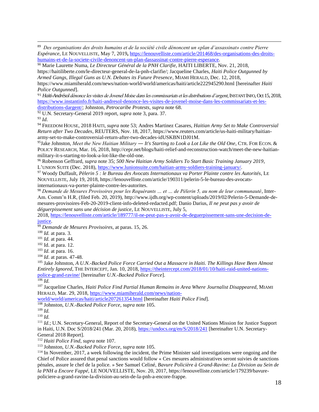<sup>90</sup> Marie Laurette Numa, *Le Directeur Général de la PNH Clarifie*, HAITI LIBERTE, Nov. 21, 2018, [https://haitiliberte.com/le-directeur-general-de-la-pnh-clarifie/;](https://haitiliberte.com/le-directeur-general-de-la-pnh-clarifie/) Jacqueline Charles, *Haiti Police Outgunned by Armed Gangs, Illegal Guns as U.N. Debates its Future Presence*, MIAMI HERALD, Dec. 12, 2018, <https://www.miamiherald.com/news/nation-world/world/americas/haiti/article222945290.html> [hereinafter *Haiti Police Outgunned*].

<sup>91</sup> *Haiti-Andrésol dénonce les visites de Jovenel Moise dans les commissariats et les distributions d'argent*, INSTANT INFO, Oct 15, 2018, [https://www.instantinfo.fr/haiti-andresol-denonce-les-visites-de-jovenel-moise-dans-les-commissariats-et-les](https://www.instantinfo.fr/haiti-andresol-denonce-les-visites-de-jovenel-moise-dans-les-commissariats-et-les-distributions-dargent/)[distributions-dargent/;](https://www.instantinfo.fr/haiti-andresol-denonce-les-visites-de-jovenel-moise-dans-les-commissariats-et-les-distributions-dargent/) Johnston, *Petrocaribe Protests, supra* note 68.

<sup>92</sup> U.N. Secretary-General 2019 report, *supra* note 3, para. 37.

<sup>93</sup> *Id*.

 $\overline{a}$ 

<sup>94</sup> FREEDOM HOUSE, 2018 HAITI, *supra* note 53; Andres Martinez Casares, *Haitian Army Set to Make Controversial Return after Two Decades*, REUTERS, Nov. 18, 2017, https://www.reuters.com/article/us-haiti-military/haitianarmy-set-to-make-controversial-return-after-two-decades-idUSKBN1DJ01M.

<sup>95</sup>Jake Johnston, *Meet the New Haitian Military ― It's Starting to Look a Lot Like the Old One*, CTR. FOR ECON. & POLICY RESEARCH, Mar. 16, 2018, http://cepr.net/blogs/haiti-relief-and-reconstruction-watch/meet-the-new-haitianmilitary-it-s-starting-to-look-a-lot-like-the-old-one.

<sup>96</sup> Robenson Geffrard, *supra* note 35; *500 New Haitian Army Soldiers To Start Basic Training January 2019*, L'UNION SUITE (Dec. 2018), [https://www.lunionsuite.com/haitian-army-soldiers-training-january/.](https://www.lunionsuite.com/haitian-army-soldiers-training-january/)

<sup>97</sup> Woody Duffault, *Pèlerin 5 : le Bureau des Avocats Internationaux va Porter Plainte contre les Autorités*, LE NOUVELLISTE, July 19, 2018, [https://lenouvelliste.com/article/190311/pelerin-5-le-bureau-des-avocats](https://lenouvelliste.com/article/190311/pelerin-5-le-bureau-des-avocats-internationaux-va-porter-plainte-contre-les-autorites)[internationaux-va-porter-plainte-contre-les-autorites.](https://lenouvelliste.com/article/190311/pelerin-5-le-bureau-des-avocats-internationaux-va-porter-plainte-contre-les-autorites)

<sup>98</sup> *Demande de Mesures Provisoires pour les Requérants … et … de Pèlerin 5, au nom de leur communauté*, Inter-Am. Comm'n H.R, (filed Feb. 20, 2019), [http://www.ijdh.org/wp-content/uploads/2019/02/Pelerin-5-Demande-de](http://www.ijdh.org/wp-content/uploads/2019/02/Pelerin-5-Demande-de-mesures-provisoires-Feb-20-2019-client-info-deleted-redacted.pdf)[mesures-provisoires-Feb-20-2019-client-info-deleted-redacted.pdf;](http://www.ijdh.org/wp-content/uploads/2019/02/Pelerin-5-Demande-de-mesures-provisoires-Feb-20-2019-client-info-deleted-redacted.pdf) Danio Darius, *Il ne peut pas y avoir de déguerpissement sans une décision de justice*, LE NOUVELLISTE, July 5,

2018, [https://lenouvelliste.com/article/189777/il-ne-peut-pas-y-avoir-de-deguerpissement-sans-une-decision-de](https://lenouvelliste.com/article/189777/il-ne-peut-pas-y-avoir-de-deguerpissement-sans-une-decision-de-justice)[justice.](https://lenouvelliste.com/article/189777/il-ne-peut-pas-y-avoir-de-deguerpissement-sans-une-decision-de-justice)

<sup>99</sup> *Demande de Mesures Provisoires*, at paras. 15, 26.

<sup>100</sup> *Id.* at para. 3.

<sup>101</sup> *Id.* at para. 44.

<sup>102</sup> Id. at para. 12.

<sup>103</sup> *Id.* at para. 16.

<sup>104</sup> *Id*. at paras. 47-48.

<sup>105</sup> Jake Johnston, *A U.N.-Backed Police Force Carried Out a Massacre in Haiti. The Killings Have Been Almost Entirely Ignored*, THE INTERCEPT, Jan. 10, 2018, [https://theintercept.com/2018/01/10/haiti-raid-united-nations](https://theintercept.com/2018/01/10/haiti-raid-united-nations-police-grand-ravine/)[police-grand-ravine/](https://theintercept.com/2018/01/10/haiti-raid-united-nations-police-grand-ravine/) [hereinafter *U.N.-Backed Police Force*].

 $\frac{106}{106}$  *Id.* 

<sup>107</sup> Jacqueline Charles, *Haiti Police Find Partial Human Remains in Area Where Journalist Disappeared*, MIAMI HERALD, Mar. 29, 2018[, https://www.miamiherald.com/news/nation-](https://www.miamiherald.com/news/nation-world/world/americas/haiti/article207261354.html)

[world/world/americas/haiti/article207261354.html](https://www.miamiherald.com/news/nation-world/world/americas/haiti/article207261354.html) [hereinafter *Haiti Police Find*].

<sup>108</sup> Johnston, *U.N.-Backed Police Force*, *supra* note 105.

<sup>109</sup> *Id.*

<sup>110</sup> *Id.*

<sup>111</sup> *Id.*; U.N. Secretary-General, Report of the Secretary-General on the United Nations Mission for Justice Support in Haiti, U.N. Doc S/2018/241 (Mar. 20, 2018),<https://undocs.org/en/S/2018/241> [hereinafter U.N. Secretary-General 2018 Report].

<sup>112</sup> *Haiti Police Find*, *supra* note 107.

<sup>113</sup> Johnston, *U.N.-Backed Police Force*, *supra* note 105.

<sup>114</sup> In November, 2017, a week following the incident, the Prime Minister said investigations were ongoing and the Chief of Police assured that penal sanctions would follow « Ces mesures administratives seront suivies de sanctions pénales, assure le chef de la police. » See Samuel Celiné, *Bavure Policière à Grand-Ravine: La Division au Sein de la PNH a Encore Fappé,* LE NOUVELLISTE, Nov. 20, 2017, https://lenouvelliste.com/article/179239/bavurepoliciere-a-grand-ravine-la-division-au-sein-de-la-pnh-a-encore-frappe.

<sup>89</sup> *Des organisations des droits humains et de la société civile dénoncent un «plan d'assassinat» contre Pierre Espérance*, LE NOUVELLISTE, May 7, 2019**,** [https://lenouvelliste.com/article/201468/des-organisations-des-droits](https://lenouvelliste.com/article/201468/des-organisations-des-droits-humains-et-de-la-societe-civile-denoncent-un-plan-dassassinat-contre-pierre-esperance)[humains-et-de-la-societe-civile-denoncent-un-plan-dassassinat-contre-pierre-esperance.](https://lenouvelliste.com/article/201468/des-organisations-des-droits-humains-et-de-la-societe-civile-denoncent-un-plan-dassassinat-contre-pierre-esperance)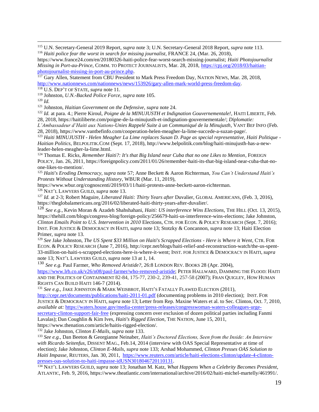<sup>115</sup> U.N. Secretary-General 2019 Report, *supra* note 3; U.N. Secretary-General 2018 Report, *supra* note 113. <sup>116</sup> Haiti police fear the worst in search for missing journalist, FRANCE 24, (Mar. 26, 2018),

[https://www.france24.com/en/20180326-haiti-police-fear-worst-search-missing-journalist;](https://www.france24.com/en/20180326-haiti-police-fear-worst-search-missing-journalist) *Haiti Photojournalist Missing in Port-au-Prince*, COMM. TO PROTECT JOURNALISTS, Mar. 28, 2018, [https://cpj.org/2018/03/haitian](https://cpj.org/2018/03/haitian-photojournalist-missing-in-port-au-prince.php)[photojournalist-missing-in-port-au-prince.php.](https://cpj.org/2018/03/haitian-photojournalist-missing-in-port-au-prince.php)

<sup>117</sup> Gary Allen, Statement from CBU President to Mark Press Freedom Day, NATION NEWS, Mar. 28, 2018, [http://www.nationnews.com/nationnews/news/153926/gary-allen-mark-world-press-freedom-day.](http://www.nationnews.com/nationnews/news/153926/gary-allen-mark-world-press-freedom-day)

<sup>118</sup> U.S. DEP'T OF STATE, *supra* note 11.

<sup>119</sup> Johnston, *U.N.-Backed Police Force*, *supra* note 105.

<sup>120</sup> *Id.*

 $\overline{a}$ 

<sup>121</sup> Johnston, *Haitian Government on the Defensive*, *supra* note 24.

<sup>122</sup> *Id.* at para. 4.; Pierre Kiroul, *Poigne de la MINUJUSTH et Indignation Gouvernementale!*, HAITI LIBERTE, Feb. 28, 2018, [https://haitiliberte.com/poigne-de-la-minujusth-et-indignation-gouvernementale/;](https://haitiliberte.com/poigne-de-la-minujusth-et-indignation-gouvernementale/) *Diplomatie:* 

*L'Ambassadeur d'Haiti aux Nations-Unies Rappelé Suite à un Communiqué de la Minujusth*, VANT BEF INFO (Feb. 28, 2018), [https://www.vantbefinfo.com/cooperation-helen-meagher-la-lime-succede-a-suzan-page/.](https://www.vantbefinfo.com/cooperation-helen-meagher-la-lime-succede-a-suzan-page/) 

<sup>123</sup> *Haiti MINUJUSTH - Helen Meagher La Lime replaces Susan D. Page as special representative, Haiti Politique - Haitian Politics*, BELPOLITIK.COM (Sept. 17, 2018), [http://www.belpolitik.com/blog/haiti-minujusth-has-a-new](http://www.belpolitik.com/blog/haiti-minujusth-has-a-new-leader-helen-meagher-la-lime.html)[leader-helen-meagher-la-lime.html.](http://www.belpolitik.com/blog/haiti-minujusth-has-a-new-leader-helen-meagher-la-lime.html)

<sup>124</sup> Thomas E. Ricks, *Remember Haiti?: It's that Big Island near Cuba that no one Likes to Mention*, FOREIGN POLICY, Jan. 26, 2011, [https://foreignpolicy.com/2011/01/26/remember-haiti-its-that-big-island-near-cuba-that-no](https://foreignpolicy.com/2011/01/26/remember-haiti-its-that-big-island-near-cuba-that-no-one-likes-to-mention/)[one-likes-to-mention/.](https://foreignpolicy.com/2011/01/26/remember-haiti-its-that-big-island-near-cuba-that-no-one-likes-to-mention/)

<sup>125</sup> *Haiti's Eroding Democracy, supra* note 57; Anne Beckett & Aaron Richterman, *You Can't Understand Haiti's Protests Without Understanding History*, WBUR (Mar. 11, 2019),

https://www.wbur.org/cognoscenti/2019/03/11/haiti-protests-anne-beckett-aaron-richterman.

<sup>126</sup> NAT'L LAWYERS GUILD, *supra* note 13.

<sup>127</sup> *Id.* at 2-3; Robert Maguire, *Liberated Haiti: Thirty Years after* Duvalier, GLOBAL AMERICANS, (Feb. 3, 2016), [https://theglobalamericans.org/2016/02/liberated-haiti-thirty-years-after-duvalier/.](https://theglobalamericans.org/2016/02/liberated-haiti-thirty-years-after-duvalier/)

<sup>128</sup> *See e.g.*, Kevin Moran & Azadeh Shahshahani, *Haiti: US interference Wins Elections*, THE HILL (Oct. 13, 2015), [https://thehill.com/blogs/congress-blog/foreign-policy/256679-haiti-us-interference-wins-elections;](https://thehill.com/blogs/congress-blog/foreign-policy/256679-haiti-us-interference-wins-elections) Jake Johnston, *Clinton Emails Point to U.S. Intervention in 2010* Elections, CTR. FOR ECON. & POLICY RESEARCH (Sept. 7, 2016); INST. FOR JUSTICE & DEMOCRACY IN HAITI, *supra* note 13; Stotzky & Concannon, *supra* note 13; Haiti Election Primer, *supra* note 13.

<sup>129</sup> *See* Jake Johnston, *The US Spent \$33 Million on Haiti's Scrapped Elections - Here is Where it Went*, CTR. FOR ECON. & POLICY RESEARCH (June 7, 2016), [http://cepr.net/blogs/haiti-relief-and-reconstruction-watch/the-us-spent-](http://cepr.net/blogs/haiti-relief-and-reconstruction-watch/the-us-spent-33-million-on-haiti-s-scrapped-elections-here-is-where-it-went)[33-million-on-haiti-s-scrapped-elections-here-is-where-it-went;](http://cepr.net/blogs/haiti-relief-and-reconstruction-watch/the-us-spent-33-million-on-haiti-s-scrapped-elections-here-is-where-it-went) INST. FOR JUSTICE & DEMOCRACY IN HAITI, *supra* note 13; NAT'L LAWYERS GUILD, *supra* note 13 at 1, 14.

<sup>130</sup> *See e.g.* Paul Farmer, *Who Removed Aristide?*, 26:8 LONDON REV. BOOKS 28 (Apr. 2004), [https://www.lrb.co.uk/v26/n08/paul-farmer/who-removed-aristide;](https://www.lrb.co.uk/v26/n08/paul-farmer/who-removed-aristide) PETER HALLWARD, DAMMING THE FLOOD: HAITI AND THE POLITICS OF CONTAINMENT 82-84, 175-77, 230-2, 239-41, 257-58 (2007); FRAN QUIGLEY, HOW HUMAN RIGHTS CAN BUILD HAITI 146-7 (2014).

<sup>131</sup> See e.g., JAKE JOHNSTON & MARK WEISBROT, HAITI'S FATALLY FLAWED ELECTION (2011),

<http://cepr.net/documents/publications/haiti-2011-01.pdf> (documenting problems in 2010 election); INST. FOR JUSTICE & DEMOCRACY IN HAITI, *supra* note 13; Letter from Rep. Maxine Waters et al. to Sec. Clinton, Oct. 7, 2010, *available at:* [https://waters.house.gov/media-center/press-releases/congresswoman-waters-colleagues-urge](https://waters.house.gov/media-center/press-releases/congresswoman-waters-colleagues-urge-secretary-clinton-support-fair-free)[secretary-clinton-support-fair-free](https://waters.house.gov/media-center/press-releases/congresswoman-waters-colleagues-urge-secretary-clinton-support-fair-free) (expressing concern over exclusion of dozen political parties including Fanmi Lavalas); Dan Coughlin & Kim Ives, *Haiti's Rigged Election*, THE NATION, June 15, 2011,

https://www.thenation.com/article/haitis-rigged-election/.

<sup>132</sup> Jake Johnston, *Clinton E-Mails, supra* note 133.

<sup>133</sup> *See e.g.,* Dan Beeton & Georgianne Neinaber, *Haiti's Doctored Elections, Seen from the Inside: An Interview with Ricardo Seitenfus*, DISSENT MAG., Feb.14, 2014 (interview with OAS Special Representative at time of election); Jake Johnston, *Clinton E-Mails, supra* note 133; Arshad Mohammed, *Clinton Presses OAS Solution to Haiti Impasse,* REUTERS, Jan. 30, 2011, [https://www.reuters.com/article/haiti-elections-clinton/update-4-clinton](https://www.reuters.com/article/haiti-elections-clinton/update-4-clinton-presses-oas-solution-to-haiti-impasse-idUSN3018046720110131)[presses-oas-solution-to-haiti-impasse-idUSN3018046720110131.](https://www.reuters.com/article/haiti-elections-clinton/update-4-clinton-presses-oas-solution-to-haiti-impasse-idUSN3018046720110131)

<sup>134</sup> NAT'L LAWYERS GUILD, *supra* note 13; Jonathan M. Katz, *What Happens When a Celebrity Becomes President*, ATLANTIC, Feb. 9, 2016, https://www.theatlantic.com/international/archive/2016/02/haiti-michel-martelly/461991/.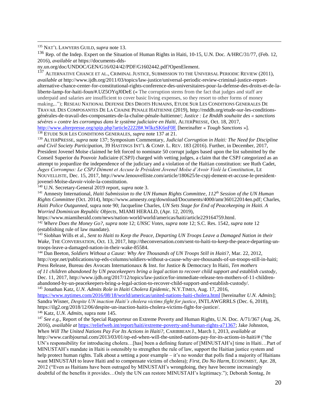<sup>135</sup> NAT'L LAWYERS GUILD, *supra* note 13.

 $\overline{a}$ 

<sup>136</sup> Rep. of the Indep. Expert on the Situation of Human Rights in Haiti, 10-15, U.N. Doc. A/HRC/31/77, (Feb. 12, 2016), *available at* https://documents-dds-

ny.un.org/doc/UNDOC/GEN/G16/024/42/PDF/G1602442.pdf?OpenElement.

<sup>137</sup> ALTERNATIVE CHANCE ET AL., CRIMINAL JUSTICE, SUBMISSION TO THE UNIVERSAL PERIODIC REVIEW (2011), *available at* http://www.ijdh.org/2011/03/topics/law-justice/universal-periodic-review-criminal-justice-reportalternative-chance-center-for-constitutional-rights-conference-des-universitaires-pour-la-defense-des-droits-et-de-laliberte-lamp-for-haiti-foun/#.UZ5OYqJ0DeE (« The corruption stems from the fact that judges and staff are underpaid and salaries are insufficient to cover basic living expenses, so they resort to other forms of money making,.."); RESEAU NATIONAL DEFENSE DES DROITS HUMAINS, ETUDE SUR LES CONDITIONS GENERALES DE TRAVAIL DES COMPOSANTES DE LA CHAINE PENALE HAÏTIENNE (2019)[, http://rnddh.org/etude-sur-les-conditions](http://rnddh.org/etude-sur-les-conditions-générales-de-travail-des-composantes-de-la-chaîne-pénale-haïtienne/)[générales-de-travail-des-composantes-de-la-chaîne-pénale-haïtienne/;](http://rnddh.org/etude-sur-les-conditions-générales-de-travail-des-composantes-de-la-chaîne-pénale-haïtienne/) *Justice : Le Rnddh souhaite des « sanctions sévères » contre les corrompus dans le système judiciaire en Haïti*, ALTERPRESSE, Oct. 18, 2017, <http://www.alterpresse.org/spip.php?article22228#.WlkzSK6nF0E> [hereinafter « *Tough Sanctions* »]. <sup>138</sup> ETUDE SUR LES CONDITIONS GENERALES, *supra* note 137 at 21.

<sup>139</sup> ALTERPRESSE, *supra* note 137; Symposium Commentary, *Judicial Corruption in Haiti: The Need for Discipline and Civil Society Participation*, 39 HASTINGS INT'L & COMP. L. REV. 183 (2016). Further, in December, 2017, President Jovenel Moïse claimed he felt forced to nominate 50 corrupt judges based upon the list submitted by the Conseil Superior du Pouvoir Judiciaire (CSPJ) charged with vetting judges, a claim that the CSPJ categorized as an attempt to jeopardize the independence of the judiciary and a violation of the Haitian constitution: see Ruth Cadet, *Juges Corrompus: Le CSPJ Dément et Accuse le Président Jovenel Moïse d'Avoir Violé la Constitution*, LE NOUVELLISTE, Dec. 15, 2017, [http://www.lenouvelliste.com/article/180625/le-cspj-dement-et-accuse-le-president](http://www.lenouvelliste.com/article/180625/le-cspj-dement-et-accuse-le-president-jovenel-Moïse-davoir-viole-la-constitution)[jovenel-Moïse-davoir-viole-la-constitution.](http://www.lenouvelliste.com/article/180625/le-cspj-dement-et-accuse-le-president-jovenel-Moïse-davoir-viole-la-constitution)

<sup>140</sup> U.N. Secretary-General 2019 report, *supra* note 3.

<sup>141</sup> Amnesty International, *Haiti Submission to the UN Human Rights Committee*, *112th Session of the UN Human Rights Committee* (Oct. 2014), [https://www.amnesty.org/download/Documents/4000/amr360122014en.pdf;](https://www.amnesty.org/download/Documents/4000/amr360122014en.pdf) Charles, *Haiti Police Outgunned*, supra note 90; Jacqueline Charles, *UN Sets Stage for End of Peacekeeping in Haiti. A Worried Dominican Republic Objects*, MIAMI HERALD, (Apr. 12, 2019),

[https://www.miamiherald.com/news/nation-world/world/americas/haiti/article229164759.html.](https://www.miamiherald.com/news/nation-world/world/americas/haiti/article229164759.html) <sup>142</sup> *Where Does the Money Go?, supra* note 12; *UNSC Votes, supra* note 12; S.C. Res. 1542, *supra* note 12

(establishing rule of law mandate).

<sup>143</sup> Siobhan Wills et al., *Sent to Haiti to Keep the Peace, Departing UN Troops Leave a Damaged Nation in their Wake*, THE CONVERSATION, Oct. 13, 2017, http://theconversation.com/sent-to-haiti-to-keep-the-peace-departing-untroops-leave-a-damaged-nation-in-their-wake-85584.

<sup>144</sup> Dan Beeton, *Soldiers Without a Cause: Why Are Thousands of UN Troops Still in Haiti?*, Mar. 22, 2012, http://cepr.net/publications/op-eds-columns/soldiers-without-a-cause-why-are-thousands-of-un-troops-still-in-haiti; Press Release, Bureau des Avocats Internationaux & Inst. for Justice & Democracy In Haiti, *Ten mothers of 11 children abandoned by UN peacekeepers bring a legal action to recover child support and establish custody*, Dec. 11, 2017, http://www.ijdh.org/2017/12/topics/law-justice/for-immediate-release-ten-mothers-of-11-childrenabandoned-by-un-peacekeepers-bring-a-legal-action-to-recover-child-support-and-establish-custody/. <sup>145</sup> Jonathan Katz, *U.N. Admits Role in Haiti Cholera Epidemic*, N.Y.TIMES, Aug. 17, 2016,

<https://www.nytimes.com/2016/08/18/world/americas/united-nations-haiti-cholera.html> [hereinafter *U.N. Admits*]; Sandra Wisner, *Despite UN inaction Haiti's cholera victims fight for justice*, INTLAWGRRLS (Dec. 6, 2018), [https://ilg2.org/2018/12/06/despite-un-inaction-haitis-cholera-victims-fight-for-justice/.](https://ilg2.org/2018/12/06/despite-un-inaction-haitis-cholera-victims-fight-for-justice/) <sup>146</sup> Katz, *U.N. Admits*, supra note 145.

<sup>147</sup> See e.g., Report of the Special Rapporteur on Extreme Poverty and Human Rights, U.N. Doc. A/71/367 (Aug. 26, 2016), *available at* [https://reliefweb.int/report/haiti/extreme-poverty-and-human-rights-a71367;](https://reliefweb.int/report/haiti/extreme-poverty-and-human-rights-a71367) Jake Johnston, *When Will The United Nations Pay For Its Actions in Haiti?,* CARIBBEAN J., March 1, 2013, *available at*  http://www.caribjournal.com/2013/03/01/op-ed-when-will-the-united-nations-pay-for-its-actions-in-haiti/# ("the UN's responsibility for introducing cholera...[has] been a defining feature of [MINUSTAH's] time in Haiti...Part of MINUSTAH's mandate in Haiti is ostensibly to strengthen the rule of law, support the Haitian justice system and help protect human rights. Talk about a setting a poor example – it's no wonder that polls find a majority of Haitians want MINUSTAH to leave Haiti and to compensate victims of cholera); *First, Do No Harm*, ECONOMIST, Apr. 28, 2012 ("Even as Haitians have been outraged by MINUSTAH's wrongdoing, they have become increasingly doubtful of the benefits it provides…Only the UN can restore MINUSTAH's legitimacy."); Deborah Sontag, *In*